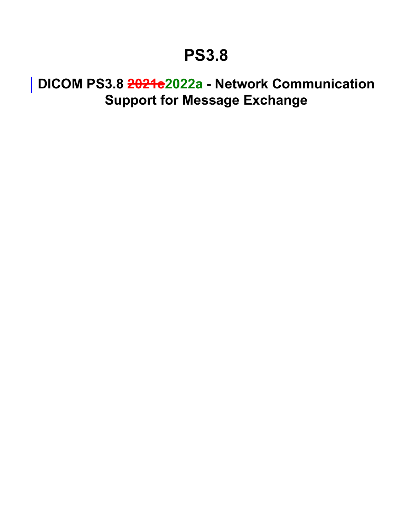# **PS3.8**

# <span id="page-0-0"></span>**DICOM PS3.8 2021e2022a - Network Communication Support for Message Exchange**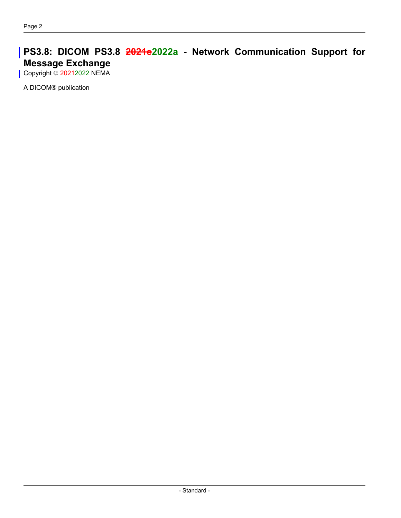#### **PS3.8: DICOM PS3.8 2021e2022a - Network Communication Support for Message Exchange** Copyright © 20212022 NEMA

A DICOM® publication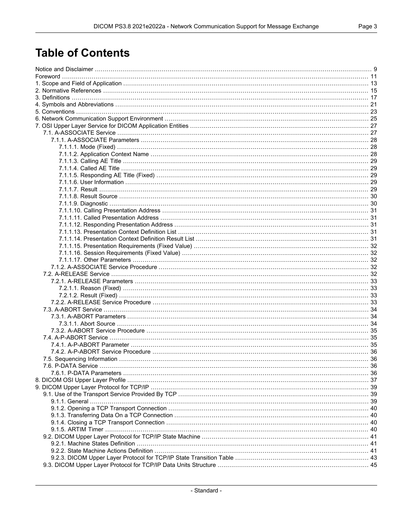# **Table of Contents**

| 7.5. Sequencing Information |  |
|-----------------------------|--|
|                             |  |
|                             |  |
|                             |  |
|                             |  |
|                             |  |
|                             |  |
|                             |  |
|                             |  |
|                             |  |
|                             |  |
|                             |  |
|                             |  |
|                             |  |
|                             |  |
|                             |  |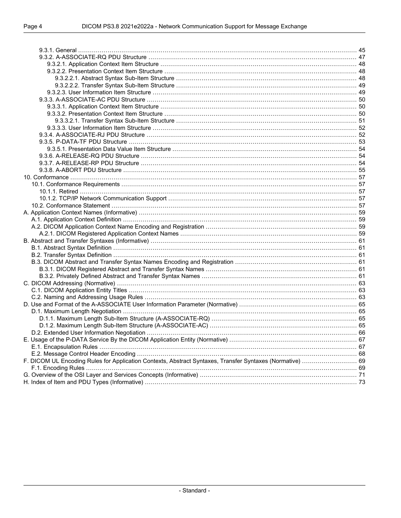| F. DICOM UL Encoding Rules for Application Contexts, Abstract Syntaxes, Transfer Syntaxes (Normative)  69 |  |
|-----------------------------------------------------------------------------------------------------------|--|
|                                                                                                           |  |
|                                                                                                           |  |
|                                                                                                           |  |
|                                                                                                           |  |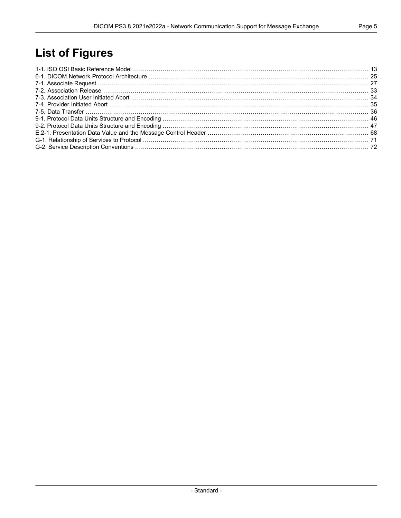# **List of Figures**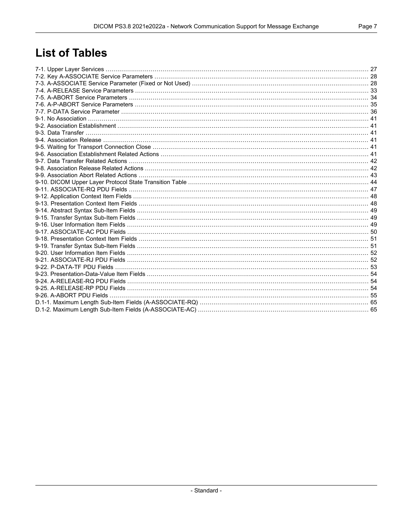# **List of Tables**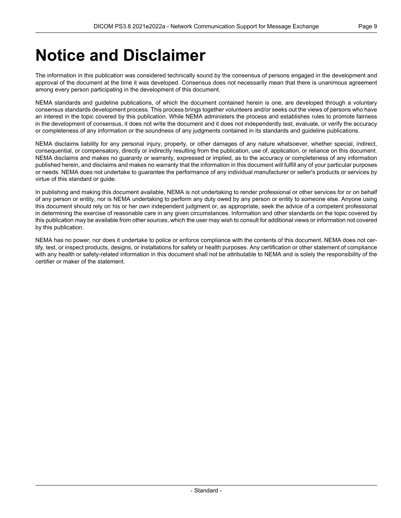# <span id="page-8-0"></span>**Notice and Disclaimer**

The information in this publication was considered technically sound by the consensus of persons engaged in the development and approval of the document at the time it was developed. Consensus does not necessarily mean that there is unanimous agreement among every person participating in the development of this document.

NEMA standards and guideline publications, of which the document contained herein is one, are developed through a voluntary consensus standards development process. This process brings together volunteers and/or seeks out the views of persons who have an interest in the topic covered by this publication. While NEMA administers the process and establishes rules to promote fairness in the development of consensus, it does not write the document and it does not independently test, evaluate, or verify the accuracy or completeness of any information or the soundness of any judgments contained in its standards and guideline publications.

NEMA disclaims liability for any personal injury, property, or other damages of any nature whatsoever, whether special, indirect, consequential, or compensatory, directly or indirectly resulting from the publication, use of, application, or reliance on this document. NEMA disclaims and makes no guaranty or warranty, expressed or implied, as to the accuracy or completeness of any information published herein, and disclaims and makes no warranty that the information in this document will fulfill any of your particular purposes or needs. NEMA does not undertake to guarantee the performance of any individual manufacturer or seller's products or services by virtue of this standard or guide.

In publishing and making this document available, NEMA is not undertaking to render professional or other services for or on behalf of any person or entity, nor is NEMA undertaking to perform any duty owed by any person or entity to someone else. Anyone using this document should rely on his or her own independent judgment or, as appropriate, seek the advice of a competent professional in determining the exercise of reasonable care in any given circumstances. Information and other standards on the topic covered by this publication may be available from other sources, which the user may wish to consult for additional views or information not covered by this publication.

NEMA has no power, nor does it undertake to police or enforce compliance with the contents of this document. NEMA does not cer tify, test, or inspect products, designs, or installations for safety or health purposes. Any certification or other statement of compliance with any health or safety-related information in this document shall not be attributable to NEMA and is solely the responsibility of the certifier or maker of the statement.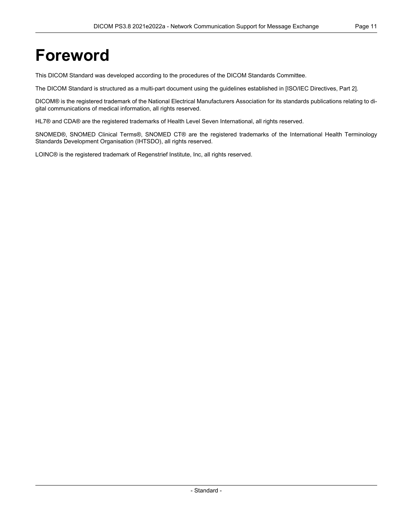# <span id="page-10-0"></span>**Foreword**

This DICOM Standard was developed according to the procedures of the DICOM Standards Committee.

The DICOM Standard is structured as a multi-part document using the guidelines established in [ISO/IEC [Directives,](#page-14-1) Part 2].

DICOM® is the registered trademark of the National Electrical Manufacturers Association for its standards publications relating to di gital communications of medical information, all rights reserved.

HL7® and CDA® are the registered trademarks of Health Level Seven International, all rights reserved.

SNOMED®, SNOMED Clinical Terms®, SNOMED CT® are the registered trademarks of the International Health Terminology Standards Development Organisation (IHTSDO), all rights reserved.

LOINC® is the registered trademark of Regenstrief Institute, Inc, all rights reserved.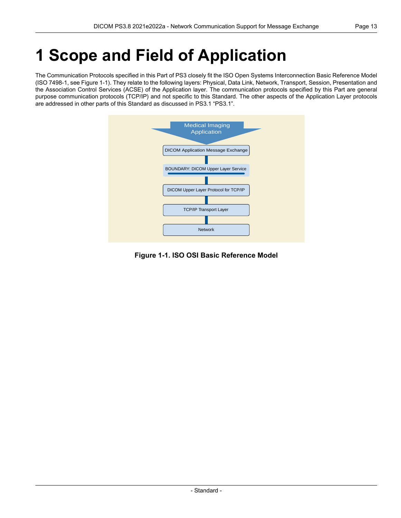# <span id="page-12-0"></span>**1 Scope and Field of Application**

<span id="page-12-1"></span>The Communication Protocols specified in this Part of PS3 closely fit the ISO Open Systems Interconnection Basic Reference Model (ISO 7498-1, see [Figure](#page-12-1) 1-1). They relate to the following layers: Physical, Data Link, Network, Transport, Session, Presentation and the Association Control Services (ACSE) of the Application layer. The communication protocols specified by this Part are general purpose communication protocols (TCP/IP) and not specific to this Standard. The other aspects of the Application Layer protocols are addressed in other parts of this Standard as discussed in PS3.1 ["PS3.1".](part01.pdf#PS3.1)



**Figure 1-1. ISO OSI Basic Reference Model**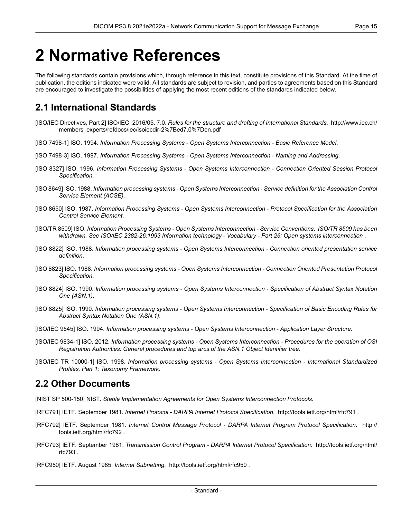# <span id="page-14-0"></span>**2 Normative References**

The following standards contain provisions which, through reference in this text, constitute provisions of this Standard. At the time of publication, the editions indicated were valid. All standards are subject to revision, and parties to agreements based on this Standard are encouraged to investigate the possibilities of applying the most recent editions of the standards indicated below.

## <span id="page-14-1"></span>**2.1 International Standards**

- <span id="page-14-2"></span>[ISO/IEC Directives, Part 2] ISO/IEC. 2016/05. 7.0. *Rules for the structure and drafting of International Standards*. [http://www.iec.ch/](http://www.iec.ch/members_experts/refdocs/iec/isoiecdir-2%7Bed7.0%7Den.pdf) [members\\_experts/refdocs/iec/isoiecdir-2%7Bed7.0%7Den.pdf](http://www.iec.ch/members_experts/refdocs/iec/isoiecdir-2%7Bed7.0%7Den.pdf) .
- <span id="page-14-3"></span>[ISO 7498-1] ISO. 1994. *Information Processing Systems - Open Systems Interconnection - Basic Reference Model*.
- [ISO 7498-3] ISO. 1997. *Information Processing Systems - Open Systems Interconnection - Naming and Addressing*.
- <span id="page-14-6"></span>[ISO 8327] ISO. 1996. *Information Processing Systems - Open Systems Interconnection - Connection Oriented Session Protocol Specification*.
- [ISO 8649] ISO. 1988. Information processing systems Open Systems Interconnection Service definition for the Association Control *Service Element (ACSE)*.
- <span id="page-14-4"></span>[ISO 8650] ISO. 1987. *Information Processing Systems - Open Systems Interconnection - Protocol Specification for the Association Control Service Element*.
- <span id="page-14-5"></span>[ISO/TR 8509] ISO. *Information Processing Systems - Open Systems Interconnection - Service Conventions*. *ISO/TR 8509 has been withdrawn. See ISO/IEC 2382-26:1993 Information technology - Vocabulary - Part 26: Open systems interconnection* .
- [ISO 8822] ISO. 1988. *Information processing systems - Open Systems Interconnection - Connection oriented presentation service definition*.
- [ISO 8823] ISO. 1988. *Information processing systems - Open Systems Interconnection - Connection Oriented Presentation Protocol Specification*.
- [ISO 8824] ISO. 1990. *Information processing systems - Open Systems Interconnection - Specification of Abstract Syntax Notation One (ASN.1)*.
- [ISO 8825] ISO. 1990. Information processing systems Open Systems Interconnection Specification of Basic Encoding Rules for *Abstract Syntax Notation One (ASN.1)*.
- [ISO/IEC 9545] ISO. 1994. *Information processing systems - Open Systems Interconnection - Application Layer Structure*.
- [ISO/IEC 9834-1] ISO. 2012. Information processing systems Open Systems Interconnection Procedures for the operation of OSI *Registration Authorities: General procedures and top arcs of the ASN.1 Object Identifier tree*.
- [ISO/IEC TR 10000-1] ISO. 1998. *Information processing systems - Open Systems Interconnection - International Standardized Profiles, Part 1: Taxonomy Framework*.

#### **2.2 Other Documents**

- [NIST SP 500-150] NIST. *Stable Implementation Agreements for Open Systems Interconnection Protocols*.
- [RFC791] IETF. September 1981. *Internet Protocol - DARPA Internet Protocol Specification*. <http://tools.ietf.org/html/rfc791> .
- [RFC792] IETF. September 1981. *Internet Control Message Protocol - DARPA Internet Program Protocol Specification*. [http://](http://tools.ietf.org/html/rfc792) [tools.ietf.org/html/rfc792](http://tools.ietf.org/html/rfc792) .
- [RFC793] IETF. September 1981. *Transmission Control Program - DARPA Internet Protocol Specification*. [http://tools.ietf.org/html/](http://tools.ietf.org/html/rfc793) [rfc793](http://tools.ietf.org/html/rfc793) .
- [RFC950] IETF. August 1985. *Internet Subnetting*. <http://tools.ietf.org/html/rfc950> .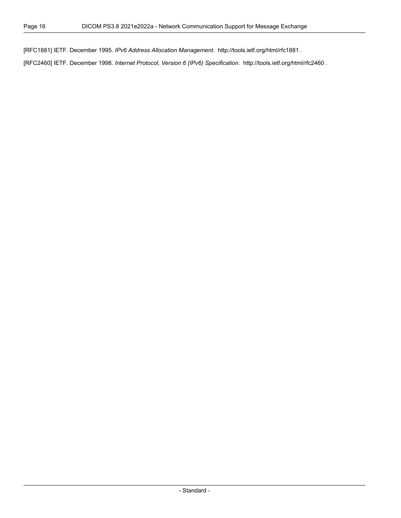[RFC1881] IETF. December 1995. *IPv6 Address Allocation Management*. <http://tools.ietf.org/html/rfc1881> .

[RFC2460] IETF. December 1998. *Internet Protocol, Version 6 (IPv6) Specification*. <http://tools.ietf.org/html/rfc2460> .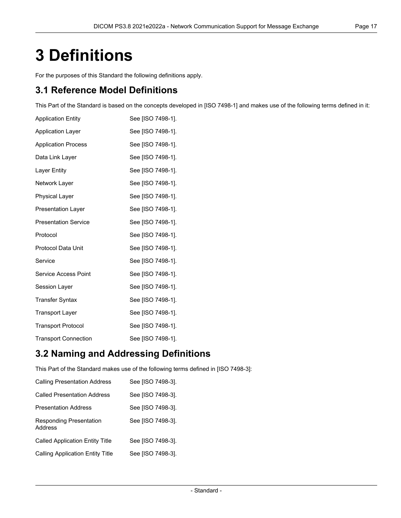# <span id="page-16-0"></span>**3 Definitions**

For the purposes of this Standard the following definitions apply.

## **3.1 Reference Model Definitions**

This Part of the Standard is based on the concepts developed in [ISO [7498-1\]](#page-14-2) and makes use of the following terms defined in it:

| <b>Application Entity</b>   | See [ISO 7498-1]. |
|-----------------------------|-------------------|
| <b>Application Layer</b>    | See [ISO 7498-1]. |
| <b>Application Process</b>  | See [ISO 7498-1]. |
| Data Link Layer             | See [ISO 7498-1]. |
| Layer Entity                | See [ISO 7498-1]. |
| Network Layer               | See [ISO 7498-1]. |
| <b>Physical Layer</b>       | See [ISO 7498-1]. |
| <b>Presentation Layer</b>   | See [ISO 7498-1]. |
| <b>Presentation Service</b> | See [ISO 7498-1]. |
| Protocol                    | See [ISO 7498-1]. |
| Protocol Data Unit          | See [ISO 7498-1]. |
| Service                     | See [ISO 7498-1]. |
| Service Access Point        | See [ISO 7498-1]. |
| Session Layer               | See [ISO 7498-1]. |
| <b>Transfer Syntax</b>      | See [ISO 7498-1]. |
| <b>Transport Layer</b>      | See [ISO 7498-1]. |
| <b>Transport Protocol</b>   | See [ISO 7498-1]. |
| <b>Transport Connection</b> | See [ISO 7498-1]. |

## **3.2 Naming and Addressing Definitions**

This Part of the Standard makes use of the following terms defined in [ISO [7498-3\]](#page-14-3):

| <b>Calling Presentation Address</b>       | See [ISO 7498-3]. |
|-------------------------------------------|-------------------|
| <b>Called Presentation Address</b>        | See [ISO 7498-3]. |
| Presentation Address                      | See [ISO 7498-3]. |
| <b>Responding Presentation</b><br>Address | See [ISO 7498-3]. |
| <b>Called Application Entity Title</b>    | See [ISO 7498-3]. |
| <b>Calling Application Entity Title</b>   | See [ISO 7498-3]. |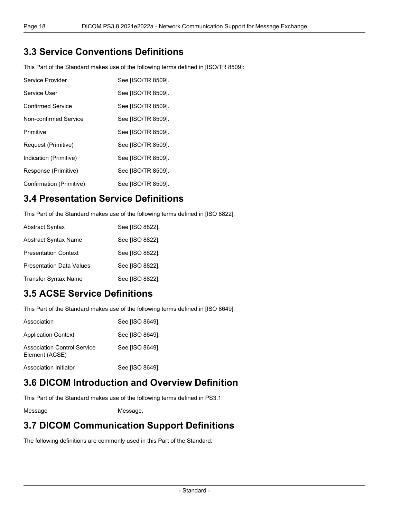### **3.3 Service Conventions Definitions**

This Part of the Standard makes use of the following terms defined in [\[ISO/TR](#page-14-4) 8509]:

| Service Provider         | See [ISO/TR 8509]. |
|--------------------------|--------------------|
| Service User             | See [ISO/TR 8509]. |
| <b>Confirmed Service</b> | See [ISO/TR 8509]. |
| Non-confirmed Service    | See [ISO/TR 8509]. |
| Primitive                | See [ISO/TR 8509]. |
| Request (Primitive)      | See [ISO/TR 8509]. |
| Indication (Primitive)   | See [ISO/TR 8509]. |
| Response (Primitive)     | See [ISO/TR 8509]. |
| Confirmation (Primitive) | See [ISO/TR 8509]. |

## **3.4 Presentation Service Definitions**

This Part of the Standard makes use of the following terms defined in [ISO [8822\]](#page-14-5):

| <b>Abstract Syntax</b>          | See [ISO 8822]. |
|---------------------------------|-----------------|
| Abstract Syntax Name            | See [ISO 8822]. |
| <b>Presentation Context</b>     | See [ISO 8822]. |
| <b>Presentation Data Values</b> | See [ISO 8822]. |
| <b>Transfer Syntax Name</b>     | See [ISO 8822]. |

### **3.5 ACSE Service Definitions**

This Part of the Standard makes use of the following terms defined in [ISO [8649\]](#page-14-6):

| Association                                          | See [ISO 8649]. |
|------------------------------------------------------|-----------------|
| <b>Application Context</b>                           | See [ISO 8649]. |
| <b>Association Control Service</b><br>Element (ACSE) | See [ISO 8649]. |
| Association Initiator                                | See [ISO 8649]. |

### **3.6 DICOM Introduction and Overview Definition**

This Part of the Standard makes use of the following terms defined in [PS3.1:](part01.pdf#PS3.1)

Message [Message.](part01.pdf#glossentry_Message)

#### **3.7 DICOM Communication Support Definitions**

The following definitions are commonly used in this Part of the Standard: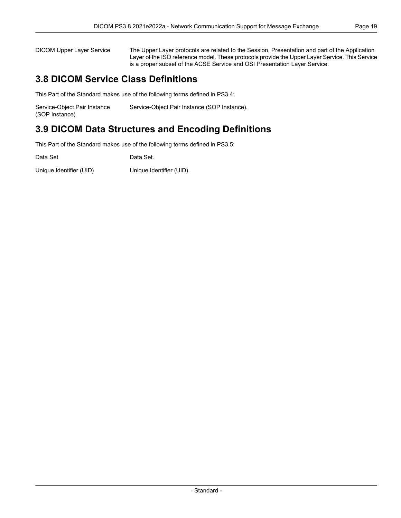DICOM Upper Layer Service The Upper Layer protocols are related to the Session, Presentation and part of the Application Layer of the ISO reference model. These protocols provide the Upper Layer Service. This Service is a proper subset of the ACSE Service and OSI Presentation Layer Service.

### **3.8 DICOM Service Class Definitions**

This Part of the Standard makes use of the following terms defined in [PS3.4:](part04.pdf#PS3.4)

| Service-Object Pair Instance | Service-Object Pair Instance (SOP Instance). |
|------------------------------|----------------------------------------------|
| (SOP Instance)               |                                              |

## **3.9 DICOM Data Structures and Encoding Definitions**

This Part of the Standard makes use of the following terms defined in [PS3.5:](part05.pdf#PS3.5)

| Data Set                | Data Set.                |
|-------------------------|--------------------------|
| Unique Identifier (UID) | Unique Identifier (UID). |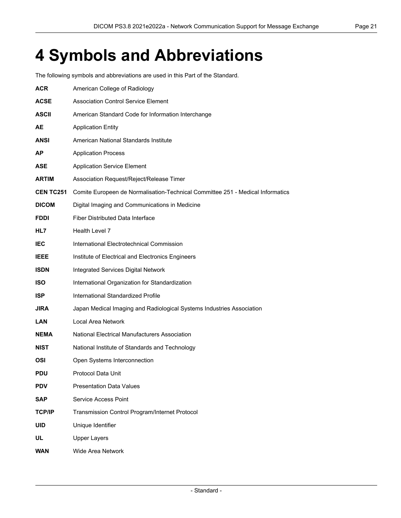# <span id="page-20-0"></span>**4 Symbols and Abbreviations**

The following symbols and abbreviations are used in this Part of the Standard.

| <b>ACR</b>      | American College of Radiology                                                  |
|-----------------|--------------------------------------------------------------------------------|
| <b>ACSE</b>     | <b>Association Control Service Element</b>                                     |
| ASCII           | American Standard Code for Information Interchange                             |
| AE              | <b>Application Entity</b>                                                      |
| ANSI            | American National Standards Institute                                          |
| ΑP              | <b>Application Process</b>                                                     |
| ASE             | <b>Application Service Element</b>                                             |
| ARTIM           | Association Request/Reject/Release Timer                                       |
| <b>CENTC251</b> | Comite Europeen de Normalisation-Technical Committee 251 - Medical Informatics |
| <b>DICOM</b>    | Digital Imaging and Communications in Medicine                                 |
| <b>FDDI</b>     | <b>Fiber Distributed Data Interface</b>                                        |
| HL7             | Health Level 7                                                                 |
| <b>IEC</b>      | International Electrotechnical Commission                                      |
| <b>IEEE</b>     | Institute of Electrical and Electronics Engineers                              |
| <b>ISDN</b>     | <b>Integrated Services Digital Network</b>                                     |
| <b>ISO</b>      | International Organization for Standardization                                 |
| <b>ISP</b>      | International Standardized Profile                                             |
| JIRA            | Japan Medical Imaging and Radiological Systems Industries Association          |
| <b>LAN</b>      | Local Area Network                                                             |
| <b>NEMA</b>     | National Electrical Manufacturers Association                                  |
| <b>NIST</b>     | National Institute of Standards and Technology                                 |
| OSI             | Open Systems Interconnection                                                   |
| PDU             | Protocol Data Unit                                                             |
| <b>PDV</b>      | <b>Presentation Data Values</b>                                                |
| <b>SAP</b>      | Service Access Point                                                           |
| <b>TCP/IP</b>   | Transmission Control Program/Internet Protocol                                 |
| <b>UID</b>      | Unique Identifier                                                              |
| UL              | <b>Upper Layers</b>                                                            |
| <b>WAN</b>      | Wide Area Network                                                              |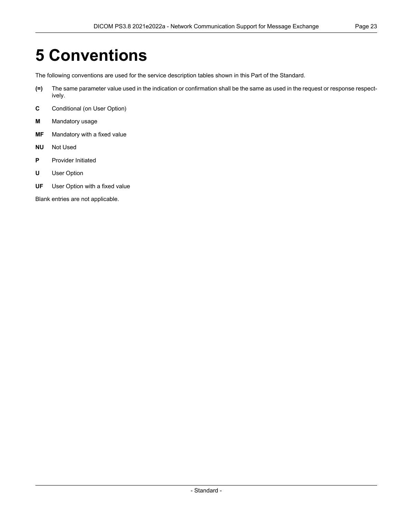# <span id="page-22-0"></span>**5 Conventions**

The following conventions are used for the service description tables shown in this Part of the Standard.

- **(=)** The same parameter value used in the indication or confirmation shall be the same as used in the request or response respect ively.
- **C** Conditional (on User Option)
- **M** Mandatory usage
- **MF** Mandatory with a fixed value
- **NU** Not Used
- **P** Provider Initiated
- **U** User Option
- **UF** User Option with a fixed value

Blank entries are not applicable.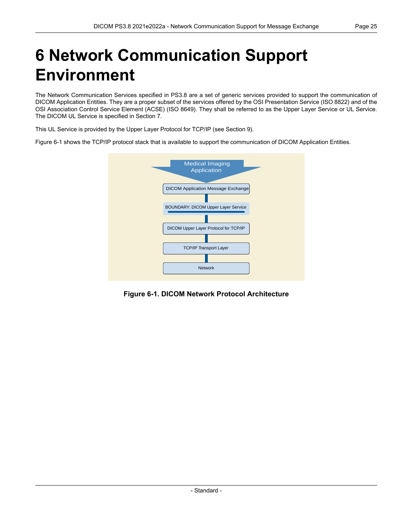# <span id="page-24-0"></span>**6 Network Communication Support Environment**

The Network Communication Services specified in [PS3.8](#page-0-0) are a set of generic services provided to support the communication of DICOM Application Entities. They are a proper subset of the services offered by the OSI Presentation Service (ISO 8822) and of the OSI Association Control Service Element (ACSE) (ISO 8649). They shall be referred to as the Upper Layer Service or UL Service. The DICOM UL Service is specified in Section 7.

This UL Service is provided by the Upper Layer Protocol for TCP/IP (see Section 9).

<span id="page-24-1"></span>[Figure](#page-24-1) 6-1 shows the TCP/IP protocol stack that is available to support the communication of DICOM Application Entities.



**Figure 6-1. DICOM Network Protocol Architecture**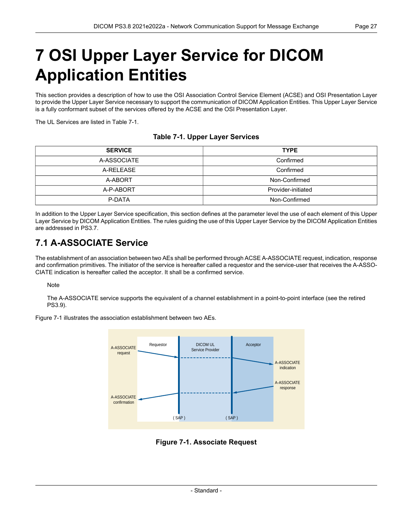# <span id="page-26-0"></span>**7 OSI Upper Layer Service for DICOM Application Entities**

This section provides a description of how to use the OSI Association Control Service Element (ACSE) and OSI Presentation Layer to provide the Upper Layer Service necessary to support the communication of DICOM Application Entities. This Upper Layer Service is a fully conformant subset of the services offered by the ACSE and the OSI Presentation Layer.

<span id="page-26-3"></span>The UL Services are listed in [Table](#page-26-3) 7-1.

#### **Table 7-1. Upper Layer Services**

| <b>SERVICE</b> | <b>TYPE</b>        |  |
|----------------|--------------------|--|
| A-ASSOCIATE    | Confirmed          |  |
| A-RELEASE      | Confirmed          |  |
| A-ABORT        | Non-Confirmed      |  |
| A-P-ABORT      | Provider-initiated |  |
| P-DATA         | Non-Confirmed      |  |

<span id="page-26-1"></span>In addition to the Upper Layer Service specification, this section defines at the parameter level the use of each element of this Upper Layer Service by DICOM Application Entities. The rules guiding the use of this Upper Layer Service by the DICOM Application Entities are addressed in [PS3.7.](part07.pdf#PS3.7)

### **7.1 A-ASSOCIATE Service**

The establishment of an association between two AEs shall be performed through ACSE A-ASSOCIATE request, indication, response and confirmation primitives. The initiator of the service is hereafter called a requestor and the service-user that receives the A-ASSO- CIATE indication is hereafter called the acceptor. It shall be a confirmed service.

#### Note

<span id="page-26-2"></span>The A-ASSOCIATE service supports the equivalent of a channel establishment in a point-to-point interface (see the retired PS3.9).

[Figure](#page-26-2) 7-1 illustrates the association establishment between two AEs.



**Figure 7-1. Associate Request**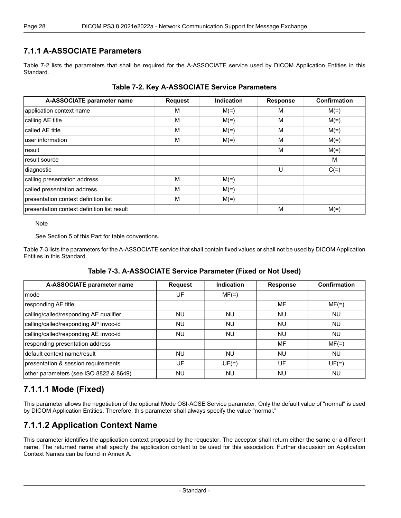#### <span id="page-27-0"></span>**7.1.1 A-ASSOCIATE Parameters**

<span id="page-27-3"></span>[Table](#page-27-3) 7-2 lists the parameters that shall be required for the A-ASSOCIATE service used by DICOM Application Entities in this Standard.

| A-ASSOCIATE parameter name                  | <b>Request</b> | <b>Indication</b> | <b>Response</b> | Confirmation |
|---------------------------------------------|----------------|-------------------|-----------------|--------------|
| application context name                    | M              | $M(=)$            | M               | $M(=)$       |
| calling AE title                            | M              | $M(=)$            | M               | $M(=)$       |
| called AE title                             | M              | $M(=)$            | M               | $M(=)$       |
| user information                            | M              | $M(=)$            | M               | $M(=)$       |
| result                                      |                |                   | M               | $M(=)$       |
| result source                               |                |                   |                 | M            |
| diagnostic                                  |                |                   | U               | $C(=)$       |
| calling presentation address                | M              | $M(=)$            |                 |              |
| called presentation address                 | M              | $M(=)$            |                 |              |
| presentation context definition list        | M              | $M(=)$            |                 |              |
| presentation context definition list result |                |                   | M               | $M(=)$       |

#### **Table 7-2. Key A-ASSOCIATE Service Parameters**

**Note** 

See Section 5 of this Part for table conventions.

<span id="page-27-4"></span>[Table](#page-27-4) 7-3 lists the parameters for the A-ASSOCIATE service that shall contain fixed values or shall not be used by DICOM Application Entities in this Standard.

#### **Table 7-3. A-ASSOCIATE Service Parameter (Fixed or Not Used)**

| A-ASSOCIATE parameter name             | <b>Request</b> | Indication | <b>Response</b> | Confirmation |
|----------------------------------------|----------------|------------|-----------------|--------------|
| mode                                   | UF             | $MF(=)$    |                 |              |
| responding AE title                    |                |            | MF              | $MF(=)$      |
| calling/called/responding AE qualifier | NU             | <b>NU</b>  | NU              | <b>NU</b>    |
| calling/called/responding AP invoc-id  | <b>NU</b>      | <b>NU</b>  | <b>NU</b>       | <b>NU</b>    |
| calling/called/responding AE invoc-id  | NU.            | <b>NU</b>  | <b>NU</b>       | <b>NU</b>    |
| responding presentation address        |                |            | MF              | $MF(=)$      |
| default context name/result            | NU             | <b>NU</b>  | <b>NU</b>       | <b>NU</b>    |
| presentation & session requirements    | UF             | $UF(=)$    | UF              | $UF(=)$      |
| other parameters (see ISO 8822 & 8649) | <b>NU</b>      | <b>NU</b>  | <b>NU</b>       | <b>NU</b>    |

#### <span id="page-27-2"></span><span id="page-27-1"></span>**7.1.1.1 Mode (Fixed)**

This parameter allows the negotiation of the optional Mode OSI-ACSE Service parameter. Only the default value of "normal" is used by DICOM Application Entities. Therefore, this parameter shall always specify the value "normal."

#### **7.1.1.2 Application Context Name**

This parameter identifies the application context proposed by the requestor. The acceptor shall return either the same or a different name. The returned name shall specify the application context to be used for this association. Further discussion on Application Context Names can be found in [Annex](#page-58-0) A.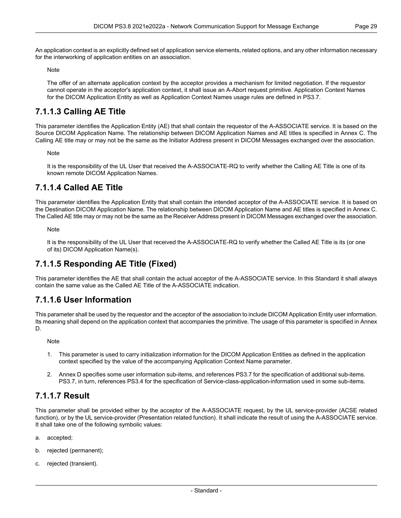The offer of an alternate application context by the acceptor provides a mechanism for limited negotiation. If the requestor cannot operate in the acceptor's application context, it shall issue an A-Abort request primitive. Application Context Names for the DICOM Application Entity as well as Application Context Names usage rules are defined in [PS3.7](part07.pdf#PS3.7).

### <span id="page-28-0"></span>**7.1.1.3 Calling AE Title**

This parameter identifies the Application Entity (AE) that shall contain the requestor of the A-ASSOCIATE service. It is based on the Source DICOM Application Name. The relationship between DICOM Application Names and AE titles is specified in [Annex](#page-62-0) C. The Calling AE title may or may not be the same as the Initiator Address present in DICOM Messages exchanged over the association.

Note

<span id="page-28-1"></span>It is the responsibility of the UL User that received the A-ASSOCIATE-RQ to verify whether the Calling AE Title is one of its known remote DICOM Application Names.

#### **7.1.1.4 Called AE Title**

This parameter identifies the Application Entity that shall contain the intended acceptor of the A-ASSOCIATE service. It is based on the Destination DICOM Application Name. The relationship between DICOM Application Name and AE titles is specified in [Annex](#page-62-0) C. The Called AE title may or may not be the same as the Receiver Address present in DICOM Messages exchanged over the association.

<span id="page-28-2"></span>**Note** 

It is the responsibility of the UL User that received the A-ASSOCIATE-RQ to verify whether the Called AE Title is its (or one of its) DICOM Application Name(s).

#### <span id="page-28-3"></span>**7.1.1.5 Responding AE Title (Fixed)**

This parameter identifies the AE that shall contain the actual acceptor of the A-ASSOCIATE service. In this Standard it shall always contain the same value as the Called AE Title of the A-ASSOCIATE indication.

#### **7.1.1.6 User Information**

This parameter shall be used by the requestor and the acceptor of the association to include DICOM Application Entity user information. Its meaning shall depend on the application context that accompanies the primitive. The usage of this parameter is specified in [Annex](#page-64-0) [D](#page-64-0).

**Note** 

- <span id="page-28-4"></span>1. This parameter is used to carry initialization information for the DICOM Application Entities as defined in the application context specified by the value of the accompanying Application Context Name parameter.
- 2. [Annex](#page-64-0) D specifies some user information sub-items, and references [PS3.7](part07.pdf#PS3.7) for the specification of additional sub-items. [PS3.7](part07.pdf#PS3.7), in turn, references [PS3.4](part04.pdf#PS3.4) for the specification of Service-class-application-information used in some sub-items.

#### **7.1.1.7 Result**

This parameter shall be provided either by the acceptor of the A-ASSOCIATE request, by the UL service-provider (ACSE related function), or by the UL service-provider (Presentation related function). It shall indicate the result of using the A-ASSOCIATE service. It shall take one of the following symbolic values:

- a. accepted;
- b. rejected (permanent);
- c. rejected (transient).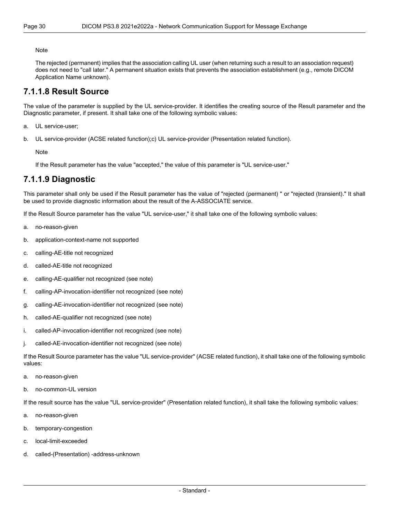The rejected (permanent) implies that the association calling UL user (when returning such a result to an association request) does not need to "call later." A permanent situation exists that prevents the association establishment (e.g., remote DICOM Application Name unknown).

#### <span id="page-29-0"></span>**7.1.1.8 Result Source**

The value of the parameter is supplied by the UL service-provider. It identifies the creating source of the Result parameter and the Diagnostic parameter, if present. It shall take one of the following symbolic values:

- a. UL service-user;
- b. UL service-provider (ACSE related function);c) UL service-provider (Presentation related function).

<span id="page-29-1"></span>Note

If the Result parameter has the value "accepted," the value of this parameter is "UL service-user."

#### **7.1.1.9 Diagnostic**

This parameter shall only be used if the Result parameter has the value of "rejected (permanent) " or "rejected (transient)." It shall be used to provide diagnostic information about the result of the A-ASSOCIATE service.

If the Result Source parameter has the value "UL service-user," it shall take one of the following symbolic values:

- a. no-reason-given
- b. application-context-name not supported
- c. calling-AE-title not recognized
- d. called-AE-title not recognized
- e. calling-AE-qualifier not recognized (see note)
- f. calling-AP-invocation-identifier not recognized (see note)
- g. calling-AE-invocation-identifier not recognized (see note)
- h. called-AE-qualifier not recognized (see note)
- i. called-AP-invocation-identifier not recognized (see note)
- j. called-AE-invocation-identifier not recognized (see note)

If the Result Source parameter has the value "UL service-provider" (ACSE related function), it shall take one of the following symbolic values:

- a. no-reason-given
- b. no-common-UL version

If the result source has the value "UL service-provider" (Presentation related function), it shall take the following symbolic values:

- a. no-reason-given
- b. temporary-congestion
- c. local-limit-exceeded
- d. called-(Presentation) -address-unknown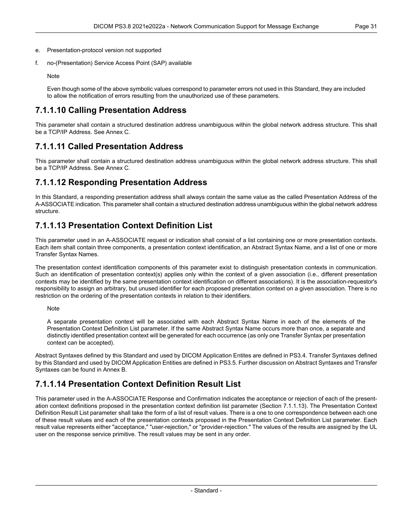- e. Presentation-protocol version not supported
- f. no-(Presentation) Service Access Point (SAP) available

<span id="page-30-0"></span>Even though some of the above symbolic values correspond to parameter errors not used in this Standard, they are included to allow the notification of errors resulting from the unauthorized use of these parameters.

#### **7.1.1.10 Calling Presentation Address**

<span id="page-30-1"></span>This parameter shall contain a structured destination address unambiguous within the global network address structure. This shall be a TCP/IP Address. See [Annex](#page-62-0) C.

#### **7.1.1.11 Called Presentation Address**

<span id="page-30-2"></span>This parameter shall contain a structured destination address unambiguous within the global network address structure. This shall be a TCP/IP Address. See [Annex](#page-62-0) C.

#### **7.1.1.12 Responding Presentation Address**

<span id="page-30-3"></span>In this Standard, a responding presentation address shall always contain the same value as the called Presentation Address of the A-ASSOCIATE indication. This parameter shall contain a structured destination address unambiguous within the global network address structure.

#### **7.1.1.13 Presentation Context Definition List**

This parameter used in an A-ASSOCIATE request or indication shall consist of a list containing one or more presentation contexts. Each item shall contain three components, a presentation context identification, an Abstract Syntax Name, and a list of one or more Transfer Syntax Names.

The presentation context identification components of this parameter exist to distinguish presentation contexts in communication. Such an identification of presentation context(s) applies only within the context of a given association (i.e., different presentation contexts may be identified by the same presentation context identification on different associations). It is the association-requestor's responsibility to assign an arbitrary, but unused identifier for each proposed presentation context on a given association. There is no restriction on the ordering of the presentation contexts in relation to their identifiers.

Note

A separate presentation context will be associated with each Abstract Syntax Name in each of the elements of the Presentation Context Definition List parameter. If the same Abstract Syntax Name occurs more than once, a separate and distinctly identified presentation context will be generated for each occurrence (as only one Transfer Syntax per presentation context can be accepted).

<span id="page-30-4"></span>Abstract Syntaxes defined by this Standard and used by DICOM Application Entites are defined in [PS3.4.](part04.pdf#PS3.4) Transfer Syntaxes defined by this Standard and used by DICOM Application Entities are defined in [PS3.5.](part05.pdf#PS3.5) Further discussion on Abstract Syntaxes and Transfer Syntaxes can be found in [Annex](#page-60-0) B.

#### **7.1.1.14 Presentation Context Definition Result List**

This parameter used in the A-ASSOCIATE Response and Confirmation indicates the acceptance or rejection of each of the present ation context definitions proposed in the presentation context definition list parameter (Section [7.1.1.13](#page-30-3)). The Presentation Context Definition Result List parameter shall take the form of a list of result values. There is a one to one correspondence between each one of these result values and each of the presentation contexts proposed in the Presentation Context Definition List parameter. Each result value represents either "acceptance," "user-rejection," or "provider-rejection." The values of the results are assigned by the UL user on the response service primitive. The result values may be sent in any order.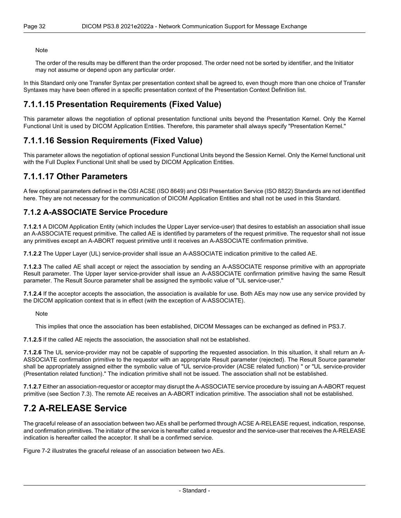The order of the results may be different than the order proposed. The order need not be sorted by identifier, and the Initiator may not assume or depend upon any particular order.

<span id="page-31-0"></span>In this Standard only one Transfer Syntax per presentation context shall be agreed to, even though more than one choice of Transfer Syntaxes may have been offered in a specific presentation context of the Presentation Context Definition list.

#### **7.1.1.15 Presentation Requirements (Fixed Value)**

<span id="page-31-1"></span>This parameter allows the negotiation of optional presentation functional units beyond the Presentation Kernel. Only the Kernel Functional Unit is used by DICOM Application Entities. Therefore, this parameter shall always specify "Presentation Kernel."

#### **7.1.1.16 Session Requirements (Fixed Value)**

<span id="page-31-2"></span>This parameter allows the negotiation of optional session Functional Units beyond the Session Kernel. Only the Kernel functional unit with the Full Duplex Functional Unit shall be used by DICOM Application Entities.

#### **7.1.1.17 Other Parameters**

<span id="page-31-3"></span>A few optional parameters defined in the OSI ACSE (ISO 8649) and OSI Presentation Service (ISO 8822) Standards are not identified here. They are not necessary for the communication of DICOM Application Entities and shall not be used in this Standard.

#### **7.1.2 A-ASSOCIATE Service Procedure**

**7.1.2.1** A DICOM Application Entity (which includes the Upper Layer service-user) that desires to establish an association shall issue an A-ASSOCIATE request primitive. The called AE is identified by parameters of the request primitive. The requestor shall not issue any primitives except an A-ABORT request primitive until it receives an A-ASSOCIATE confirmation primitive.

**7.1.2.2** The Upper Layer (UL) service-provider shall issue an A-ASSOCIATE indication primitive to the called AE.

**7.1.2.3** The called AE shall accept or reject the association by sending an A-ASSOCIATE response primitive with an appropriate Result parameter. The Upper layer service-provider shall issue an A-ASSOCIATE confirmation primitive having the same Result parameter. The Result Source parameter shall be assigned the symbolic value of "UL service-user."

**7.1.2.4** If the acceptor accepts the association, the association is available for use. Both AEs may now use any service provided by the DICOM application context that is in effect (with the exception of A-ASSOCIATE).

Note

This implies that once the association has been established, DICOM Messages can be exchanged as defined in [PS3.7.](part07.pdf#PS3.7)

**7.1.2.5** If the called AE rejects the association, the association shall not be established.

<span id="page-31-4"></span>**7.1.2.6** The UL service-provider may not be capable of supporting the requested association. In this situation, it shall return an A- ASSOCIATE confirmation primitive to the requestor with an appropriate Result parameter (rejected). The Result Source parameter shall be appropriately assigned either the symbolic value of "UL service-provider (ACSE related function) " or "UL service-provider (Presentation related function)." The indication primitive shall not be issued. The association shall not be established.

**7.1.2.7** Either an association-requestor or acceptor may disrupt the A-ASSOCIATE service procedure by issuing an A-ABORT request primitive (see [Section](#page-33-0) 7.3). The remote AE receives an A-ABORT indication primitive. The association shall not be established.

### **7.2 A-RELEASE Service**

The graceful release of an association between two AEs shall be performed through ACSE A-RELEASE request, indication, response, and confirmation primitives. The initiator of the service is hereafter called a requestor and the service-user that receives the A-RELEASE indication is hereafter called the acceptor. It shall be a confirmed service.

[Figure](#page-32-4) 7-2 illustrates the graceful release of an association between two AEs.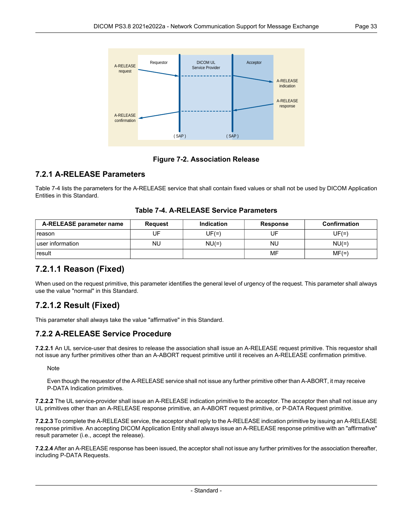<span id="page-32-4"></span>

**Figure 7-2. Association Release**

#### <span id="page-32-0"></span>**7.2.1 A-RELEASE Parameters**

<span id="page-32-5"></span>[Table](#page-32-5) 7-4 lists the parameters for the A-RELEASE service that shall contain fixed values or shall not be used by DICOM Application Entities in this Standard.

<span id="page-32-1"></span>

| A-RELEASE parameter name | <b>Request</b> | <b>Indication</b> | <b>Response</b> | <b>Confirmation</b> |
|--------------------------|----------------|-------------------|-----------------|---------------------|
| reason                   | UF             | $UF(=)$           | UF              | UF(=)               |
| luser information        | NU             | $NU(=)$           | NU              | $NU(=)$             |
| result                   |                |                   | MF              | $MF(=)$             |

#### **Table 7-4. A-RELEASE Service Parameters**

#### <span id="page-32-2"></span>**7.2.1.1 Reason (Fixed)**

When used on the request primitive, this parameter identifies the general level of urgency of the request. This parameter shall always use the value "normal" in this Standard.

#### <span id="page-32-3"></span>**7.2.1.2 Result (Fixed)**

This parameter shall always take the value "affirmative" in this Standard.

#### **7.2.2 A-RELEASE Service Procedure**

**7.2.2.1** An UL service-user that desires to release the association shall issue an A-RELEASE request primitive. This requestor shall not issue any further primitives other than an A-ABORT request primitive until it receives an A-RELEASE confirmation primitive.

**Note** 

Even though the requestor of the A-RELEASE service shall not issue any further primitive other than A-ABORT, it may receive P-DATA Indication primitives.

**7.2.2.2** The UL service-provider shall issue an A-RELEASE indication primitive to the acceptor. The acceptor then shall not issue any UL primitives other than an A-RELEASE response primitive, an A-ABORT request primitive, or P-DATA Request primitive.

**7.2.2.3** To complete the A-RELEASE service, the acceptor shall reply to the A-RELEASE indication primitive by issuing an A-RELEASE response primitive. An accepting DICOM Application Entity shall always issue an A-RELEASE response primitive with an "affirmative" result parameter (i.e., accept the release).

**7.2.2.4** After an A-RELEASE response has been issued, the acceptor shall not issue any further primitives for the association thereafter, including P-DATA Requests.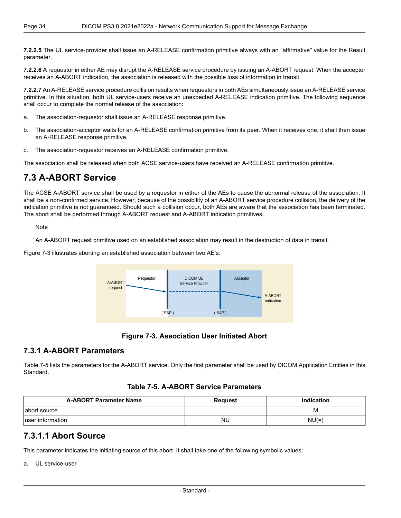**7.2.2.5** The UL service-provider shall issue an A-RELEASE confirmation primitive always with an "affirmative" value for the Result parameter.

**7.2.2.6** A requestor in either AE may disrupt the A-RELEASE service procedure by issuing an A-ABORT request. When the acceptor receives an A-ABORT indication, the association is released with the possible loss of information in transit.

**7.2.2.7** An A-RELEASE service procedure collision results when requestors in both AEs simultaneously issue an A-RELEASE service primitive. In this situation, both UL service-users receive an unexpected A-RELEASE indication primitive. The following sequence shall occur to complete the normal release of the association:

- a. The association-requestor shall issue an A-RELEASE response primitive.
- b. The association-acceptor waits for an A-RELEASE confirmation primitive from its peer. When it receives one, it shall then issue an A-RELEASE response primitive.
- <span id="page-33-0"></span>c. The association-requestor receives an A-RELEASE confirmation primitive.

The association shall be released when both ACSE service-users have received an A-RELEASE confirmation primitive.

#### **7.3 A-ABORT Service**

The ACSE A-ABORT service shall be used by a requestor in either of the AEs to cause the abnormal release of the association. It shall be a non-confirmed service. However, because of the possibility of an A-ABORT service procedure collision, the delivery of the indication primitive is not guaranteed. Should such a collision occur, both AEs are aware that the association has been terminated. The abort shall be performed through A-ABORT request and A-ABORT indication primitives.

**Note** 

<span id="page-33-3"></span>An A-ABORT request primitive used on an established association may result in the destruction of data in transit.

[Figure](#page-33-3) 7-3 illustrates aborting an established association between two AE's.



#### **Figure 7-3. Association User Initiated Abort**

#### <span id="page-33-4"></span><span id="page-33-1"></span>**7.3.1 A-ABORT Parameters**

[Table](#page-33-4) 7-5 lists the parameters for the A-ABORT service. Only the first parameter shall be used by DICOM Application Entities in this Standard.

#### **Table 7-5. A-ABORT Service Parameters**

<span id="page-33-2"></span>

| <b>A-ABORT Parameter Name</b> | Request   | <b>Indication</b> |
|-------------------------------|-----------|-------------------|
| abort source                  |           | M                 |
| luser information             | <b>NU</b> | $NU(=)$           |

#### **7.3.1.1 Abort Source**

This parameter indicates the initiating source of this abort. It shall take one of the following symbolic values:

a. UL service-user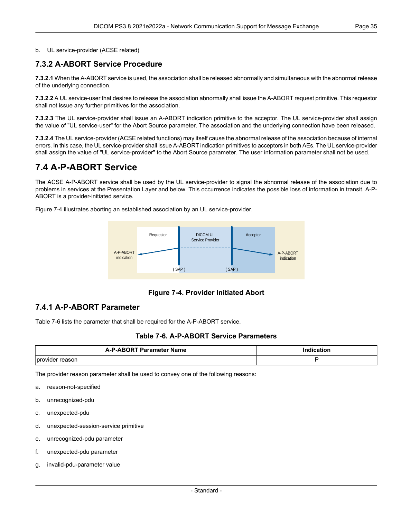#### <span id="page-34-0"></span>b. UL service-provider (ACSE related)

#### **7.3.2 A-ABORT Service Procedure**

**7.3.2.1** When the A-ABORT service is used, the association shall be released abnormally and simultaneous with the abnormal release of the underlying connection.

**7.3.2.2** A UL service-user that desires to release the association abnormally shall issue the A-ABORT request primitive. This requestor shall not issue any further primitives for the association.

**7.3.2.3** The UL service-provider shall issue an A-ABORT indication primitive to the acceptor. The UL service-provider shall assign the value of "UL service-user" for the Abort Source parameter. The association and the underlying connection have been released.

<span id="page-34-1"></span>**7.3.2.4** The UL service-provider (ACSE related functions) may itself cause the abnormal release of the association because of internal errors. In this case, the UL service-provider shall issue A-ABORT indication primitives to acceptors in both AEs. The UL service-provider shall assign the value of "UL service-provider" to the Abort Source parameter. The user information parameter shall not be used.

#### **7.4 A-P-ABORT Service**

The ACSE A-P-ABORT service shall be used by the UL service-provider to signal the abnormal release of the association due to problems in services at the Presentation Layer and below. This occurrence indicates the possible loss of information in transit. A-P- ABORT is a provider-initiated service.

<span id="page-34-3"></span>[Figure](#page-34-3) 7-4 illustrates aborting an established association by an UL service-provider.



**Figure 7-4. Provider Initiated Abort**

#### <span id="page-34-4"></span><span id="page-34-2"></span>**7.4.1 A-P-ABORT Parameter**

[Table](#page-34-4) 7-6 lists the parameter that shall be required for the A-P-ABORT service.

#### **Table 7-6. A-P-ABORT Service Parameters**

| <b>A-P-ARORT Parameter Name</b> | ------ |  |
|---------------------------------|--------|--|
|                                 |        |  |
|                                 |        |  |
| provi<br>asor<br>$  -$          |        |  |

The provider reason parameter shall be used to convey one of the following reasons:

- a. reason-not-specified
- b. unrecognized-pdu
- c. unexpected-pdu
- d. unexpected-session-service primitive
- e. unrecognized-pdu parameter
- f. unexpected-pdu parameter
- g. invalid-pdu-parameter value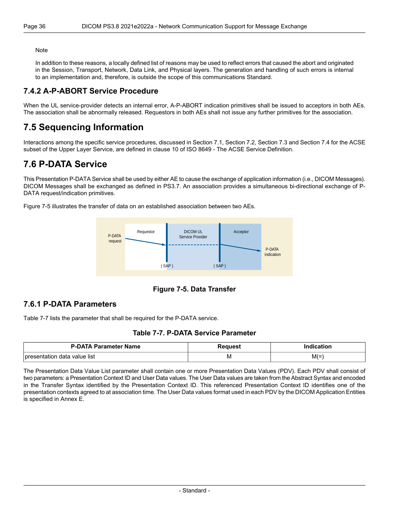In addition to these reasons, a locally defined list of reasons may be used to reflect errors that caused the abort and originated in the Session, Transport, Network, Data Link, and Physical layers. The generation and handling of such errors is internal to an implementation and, therefore, is outside the scope of this communications Standard.

#### <span id="page-35-0"></span>**7.4.2 A-P-ABORT Service Procedure**

<span id="page-35-1"></span>When the UL service-provider detects an internal error, A-P-ABORT indication primitives shall be issued to acceptors in both AEs. The association shall be abnormally released. Requestors in both AEs shall not issue any further primitives for the association.

### **7.5 Sequencing Information**

<span id="page-35-2"></span>Interactions among the specific service procedures, discussed in [Section](#page-26-1) 7.1, [Section](#page-31-4) 7.2, [Section](#page-33-0) 7.3 and [Section](#page-34-1) 7.4 for the ACSE subset of the Upper Layer Service, are defined in clause 10 of ISO 8649 - The ACSE Service Definition.

### **7.6 P-DATA Service**

This Presentation P-DATA Service shall be used by either AE to cause the exchange of application information (i.e., DICOM Messages). DICOM Messages shall be exchanged as defined in [PS3.7.](part07.pdf#PS3.7) An association provides a simultaneous bi-directional exchange of P- DATA request/indication primitives.

<span id="page-35-4"></span>[Figure](#page-35-4) 7-5 illustrates the transfer of data on an established association between two AEs.



**Figure 7-5. Data Transfer**

#### <span id="page-35-5"></span><span id="page-35-3"></span>**7.6.1 P-DATA Parameters**

[Table](#page-35-5) 7-7 lists the parameter that shall be required for the P-DATA service.

#### **Table 7-7. P-DATA Service Parameter**

| <b>P-DATA Parameter Name</b>         | seanes: |       |
|--------------------------------------|---------|-------|
| value list<br>data<br>nres<br>птаног | 1 V I   | $M(=$ |

The Presentation Data Value List parameter shall contain one or more Presentation Data Values (PDV). Each PDV shall consist of two parameters: a Presentation Context ID and User Data values. The User Data values are taken from the Abstract Syntax and encoded in the Transfer Syntax identified by the Presentation Context ID. This referenced Presentation Context ID identifies one of the presentation contexts agreed to at association time. The User Data values format used in each PDV by the DICOM Application Entities is specified in [Annex](#page-66-0) E.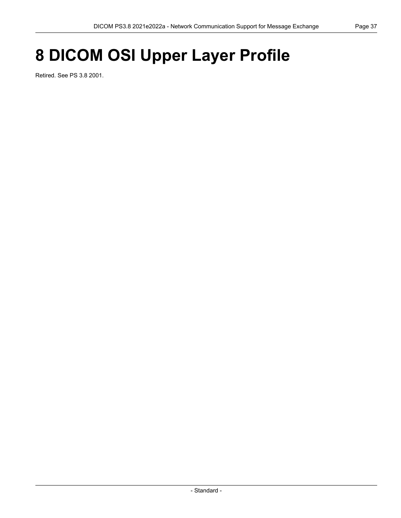# **8 DICOM OSI Upper Layer Profile**

Retired. See PS 3.8 2001.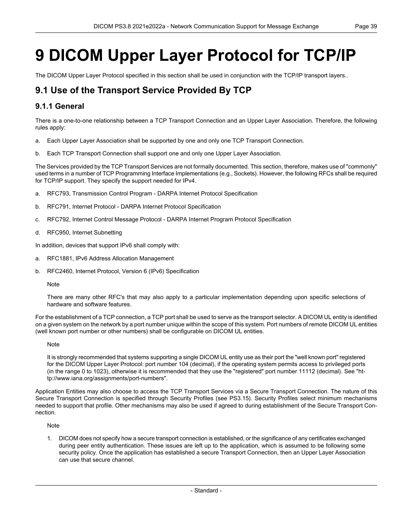# **9 DICOM Upper Layer Protocol for TCP/IP**

The DICOM Upper Layer Protocol specified in this section shall be used in conjunction with the TCP/IP transport layers..

## **9.1 Use of the Transport Service Provided By TCP**

## **9.1.1 General**

There is a one-to-one relationship between a TCP Transport Connection and an Upper Layer Association. Therefore, the following rules apply:

- a. Each Upper Layer Association shall be supported by one and only one TCP Transport Connection.
- b. Each TCP Transport Connection shall support one and only one Upper Layer Association.

The Services provided by the TCP Transport Services are not formally documented. This section, therefore, makes use of "commonly" used terms in a number of TCP Programming Interface Implementations (e.g., Sockets). However, the following RFCs shall be required for TCP/IP support. They specify the support needed for IPv4.

- a. RFC793, Transmission Control Program DARPA Internet Protocol Specification
- b. RFC791, Internet Protocol DARPA Internet Protocol Specification
- c. RFC792, Internet Control Message Protocol DARPA Internet Program Protocol Specification
- d. RFC950, Internet Subnetting

In addition, devices that support IPv6 shall comply with:

- a. RFC1881, IPv6 Address Allocation Management
- b. RFC2460, Internet Protocol, Version 6 (IPv6) Specification

#### Note

There are many other RFC's that may also apply to a particular implementation depending upon specific selections of hardware and software features.

For the establishment of a TCP connection, a TCP port shall be used to serve as the transport selector. A DICOM UL entity is identified on a given system on the network by a port number unique within the scope of this system. Port numbers of remote DICOM UL entities (well known port number or other numbers) shall be configurable on DICOM UL entities.

#### **Note**

It is strongly recommended that systems supporting a single DICOM UL entity use as their port the "well known port" registered for the DICOM Upper Layer Protocol: port number 104 (decimal), if the operating system permits access to privileged ports (in the range 0 to 1023), otherwise it is recommended that they use the "registered" port number 11112 (decimal). See "ht tp://www.iana.org/assignments/port-numbers".

Application Entities may also choose to access the TCP Transport Services via a Secure Transport Connection. The nature of this Secure Transport Connection is specified through Security Profiles (see [PS3.15](part15.pdf#PS3.15)). Security Profiles select minimum mechanisms needed to support that profile. Other mechanisms may also be used if agreed to during establishment of the Secure Transport Con nection.

#### Note

1. DICOM does not specify how a secure transport connection is established, or the significance of any certificates exchanged during peer entity authentication. These issues are left up to the application, which is assumed to be following some security policy. Once the application has established a secure Transport Connection, then an Upper Layer Association can use that secure channel.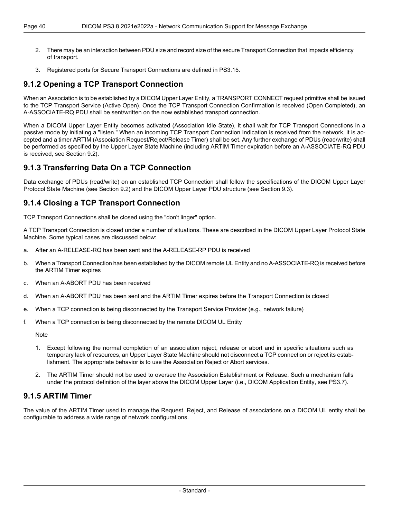- 2. There may be an interaction between PDU size and record size of the secure Transport Connection that impacts efficiency of transport.
- 3. Registered ports for Secure Transport Connections are defined in [PS3.15](part15.pdf#PS3.15).

## **9.1.2 Opening a TCP Transport Connection**

When an Association is to be established by a DICOM Upper Layer Entity, a TRANSPORT CONNECT request primitive shall be issued to the TCP Transport Service (Active Open). Once the TCP Transport Connection Confirmation is received (Open Completed), an A-ASSOCIATE-RQ PDU shall be sent/written on the now established transport connection.

When a DICOM Upper Layer Entity becomes activated (Association Idle State), it shall wait for TCP Transport Connections in a passive mode by initiating a "listen." When an incoming TCP Transport Connection Indication is received from the network, it is ac cepted and a timer ARTIM (Association Request/Reject/Release Timer) shall be set. Any further exchange of PDUs (read/write) shall be performed as specified by the Upper Layer State Machine (including ARTIM Timer expiration before an A-ASSOCIATE-RQ PDU is received, see [Section](#page-40-0) 9.2).

## **9.1.3 Transferring Data On a TCP Connection**

Data exchange of PDUs (read/write) on an established TCP Connection shall follow the specifications of the DICOM Upper Layer Protocol State Machine (see [Section](#page-40-0) 9.2) and the DICOM Upper Layer PDU structure (see [Section](#page-44-0) 9.3).

## **9.1.4 Closing a TCP Transport Connection**

TCP Transport Connections shall be closed using the "don't linger" option.

A TCP Transport Connection is closed under a number of situations. These are described in the DICOM Upper Layer Protocol State Machine. Some typical cases are discussed below:

- a. After an A-RELEASE-RQ has been sent and the A-RELEASE-RP PDU is received
- b. When a Transport Connection has been established by the DICOM remote UL Entity and no A-ASSOCIATE-RQ is received before the ARTIM Timer expires
- c. When an A-ABORT PDU has been received
- d. When an A-ABORT PDU has been sent and the ARTIM Timer expires before the Transport Connection is closed
- e. When a TCP connection is being disconnected by the Transport Service Provider (e.g., network failure)
- f. When a TCP connection is being disconnected by the remote DICOM UL Entity

**Note** 

- 1. Except following the normal completion of an association reject, release or abort and in specific situations such as temporary lack of resources, an Upper Layer State Machine should not disconnect a TCP connection or reject its estab lishment. The appropriate behavior is to use the Association Reject or Abort services.
- 2. The ARTIM Timer should not be used to oversee the Association Establishment or Release. Such a mechanism falls under the protocol definition of the layer above the DICOM Upper Layer (i.e., DICOM Application Entity, see [PS3.7\)](part07.pdf#PS3.7).

## **9.1.5 ARTIM Timer**

The value of the ARTIM Timer used to manage the Request, Reject, and Release of associations on a DICOM UL entity shall be configurable to address a wide range of network configurations.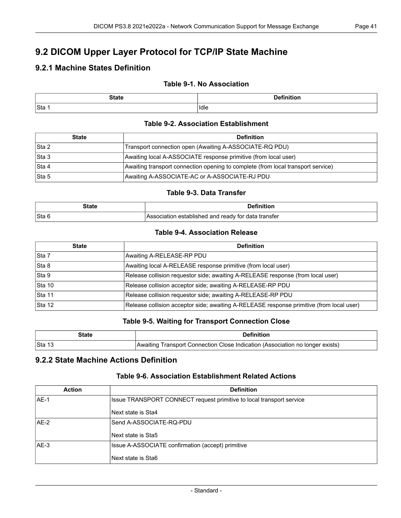# <span id="page-40-0"></span>**9.2 DICOM Upper Layer Protocol for TCP/IP State Machine**

## **9.2.1 Machine States Definition**

## **Table 9-1. No Association**

| <b>State</b> | .<br>--- |
|--------------|----------|
| Sta          | Idle     |

### **Table 9-2. Association Establishment**

| <b>State</b> | <b>Definition</b>                                                                |  |  |  |  |  |  |  |
|--------------|----------------------------------------------------------------------------------|--|--|--|--|--|--|--|
| Sta 2        | Transport connection open (Awaiting A-ASSOCIATE-RQ PDU)                          |  |  |  |  |  |  |  |
| Sta 3        | Awaiting local A-ASSOCIATE response primitive (from local user)                  |  |  |  |  |  |  |  |
| Sta 4        | Awaiting transport connection opening to complete (from local transport service) |  |  |  |  |  |  |  |
| Sta 5        | Awaiting A-ASSOCIATE-AC or A-ASSOCIATE-RJ PDU                                    |  |  |  |  |  |  |  |

#### **Table 9-3. Data Transfer**

| State  | <b>Definition</b>                                   |
|--------|-----------------------------------------------------|
| ∣Sta 6 | Association established and ready for data transfer |

#### **Table 9-4. Association Release**

| <b>State</b> | <b>Definition</b>                                                                        |
|--------------|------------------------------------------------------------------------------------------|
| Sta 7        | Awaiting A-RELEASE-RP PDU                                                                |
| Sta 8        | Awaiting local A-RELEASE response primitive (from local user)                            |
| Sta 9        | Release collision requestor side; awaiting A-RELEASE response (from local user)          |
| Sta 10       | Release collision acceptor side; awaiting A-RELEASE-RP PDU                               |
| Sta 11       | Release collision requestor side; awaiting A-RELEASE-RP PDU                              |
| Sta 12       | Release collision acceptor side; awaiting A-RELEASE response primitive (from local user) |

### **Table 9-5. Waiting for Transport Connection Close**

| State   | <b>Definition</b>                                                             |  |  |  |  |  |  |
|---------|-------------------------------------------------------------------------------|--|--|--|--|--|--|
| ∣Sta 13 | Awaiting Transport Connection Close Indication (Association no longer exists) |  |  |  |  |  |  |

## **9.2.2 State Machine Actions Definition**

### **Table 9-6. Association Establishment Related Actions**

| <b>Action</b> | <b>Definition</b>                                                    |  |  |  |  |  |
|---------------|----------------------------------------------------------------------|--|--|--|--|--|
| AF-1          | Issue TRANSPORT CONNECT request primitive to local transport service |  |  |  |  |  |
|               | Next state is Sta4                                                   |  |  |  |  |  |
| AE-2          | Send A-ASSOCIATE-RQ-PDU                                              |  |  |  |  |  |
|               | Next state is Sta5                                                   |  |  |  |  |  |
| IAE-3         | Issue A-ASSOCIATE confirmation (accept) primitive                    |  |  |  |  |  |
|               | Next state is Sta6                                                   |  |  |  |  |  |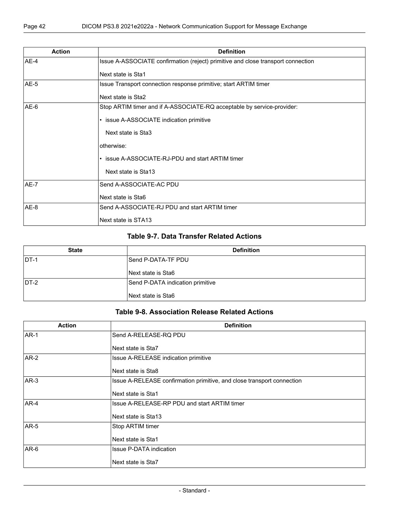| <b>Action</b> | <b>Definition</b>                                                                |
|---------------|----------------------------------------------------------------------------------|
| $AE-4$        | Issue A-ASSOCIATE confirmation (reject) primitive and close transport connection |
|               | Next state is Sta1                                                               |
| AE-5          | Issue Transport connection response primitive; start ARTIM timer                 |
|               | Next state is Sta2                                                               |
| $AE-6$        | Stop ARTIM timer and if A-ASSOCIATE-RQ acceptable by service-provider:           |
|               | • issue A-ASSOCIATE indication primitive                                         |
|               | Next state is Sta3                                                               |
|               | otherwise:                                                                       |
|               | • issue A-ASSOCIATE-RJ-PDU and start ARTIM timer                                 |
|               | Next state is Sta13                                                              |
| AE-7          | Send A-ASSOCIATE-AC PDU                                                          |
|               | Next state is Sta6                                                               |
| AE-8          | Send A-ASSOCIATE-RJ PDU and start ARTIM timer                                    |
|               | Next state is STA13                                                              |

## **Table 9-7. Data Transfer Related Actions**

| <b>State</b> | <b>Definition</b>                |  |  |  |  |  |  |  |
|--------------|----------------------------------|--|--|--|--|--|--|--|
| IDT-1        | Send P-DATA-TF PDU               |  |  |  |  |  |  |  |
|              | Next state is Sta6               |  |  |  |  |  |  |  |
| $DT-2$       | Send P-DATA indication primitive |  |  |  |  |  |  |  |
|              | Next state is Sta6               |  |  |  |  |  |  |  |

### **Table 9-8. Association Release Related Actions**

| <b>Action</b> | <b>Definition</b>                                                      |  |  |  |  |  |  |  |
|---------------|------------------------------------------------------------------------|--|--|--|--|--|--|--|
| <b>AR-1</b>   | Send A-RELEASE-RQ PDU                                                  |  |  |  |  |  |  |  |
|               | Next state is Sta7                                                     |  |  |  |  |  |  |  |
| $AR-2$        | Issue A-RELEASE indication primitive                                   |  |  |  |  |  |  |  |
|               | Next state is Sta8                                                     |  |  |  |  |  |  |  |
| $AR-3$        | Issue A-RELEASE confirmation primitive, and close transport connection |  |  |  |  |  |  |  |
|               | Next state is Sta1                                                     |  |  |  |  |  |  |  |
| $AR-4$        | Issue A-RELEASE-RP PDU and start ARTIM timer                           |  |  |  |  |  |  |  |
|               | Next state is Sta13                                                    |  |  |  |  |  |  |  |
| <b>AR-5</b>   | Stop ARTIM timer                                                       |  |  |  |  |  |  |  |
|               | Next state is Sta1                                                     |  |  |  |  |  |  |  |
| $AR-6$        | <b>Issue P-DATA indication</b>                                         |  |  |  |  |  |  |  |
|               | Next state is Sta7                                                     |  |  |  |  |  |  |  |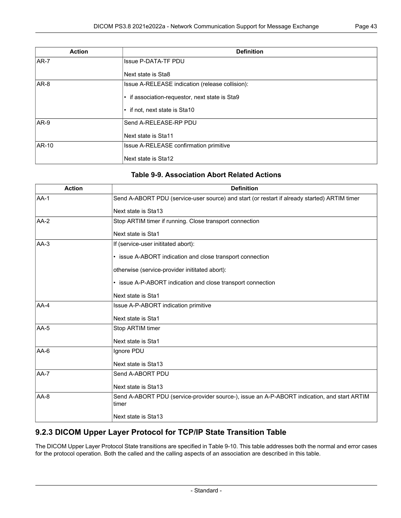| <b>Action</b> | <b>Definition</b>                               |  |  |  |  |  |
|---------------|-------------------------------------------------|--|--|--|--|--|
| $AR-7$        | <b>Issue P-DATA-TF PDU</b>                      |  |  |  |  |  |
|               | Next state is Sta8                              |  |  |  |  |  |
| $AR-8$        | Issue A-RELEASE indication (release collision): |  |  |  |  |  |
|               | • if association-requestor, next state is Sta9  |  |  |  |  |  |
|               | • if not, next state is Sta10                   |  |  |  |  |  |
| $AR-9$        | Send A-RELEASE-RP PDU                           |  |  |  |  |  |
|               | Next state is Sta11                             |  |  |  |  |  |
| <b>AR-10</b>  | Issue A-RELEASE confirmation primitive          |  |  |  |  |  |
|               | Next state is Sta12                             |  |  |  |  |  |

## **Table 9-9. Association Abort Related Actions**

| <b>Action</b> | <b>Definition</b>                                                                                    |  |  |  |  |  |  |  |  |
|---------------|------------------------------------------------------------------------------------------------------|--|--|--|--|--|--|--|--|
| $AA-1$        | Send A-ABORT PDU (service-user source) and start (or restart if already started) ARTIM timer         |  |  |  |  |  |  |  |  |
|               | Next state is Sta13                                                                                  |  |  |  |  |  |  |  |  |
| $AA-2$        | Stop ARTIM timer if running. Close transport connection                                              |  |  |  |  |  |  |  |  |
|               | Next state is Sta1                                                                                   |  |  |  |  |  |  |  |  |
| AA-3          | If (service-user inititated abort):                                                                  |  |  |  |  |  |  |  |  |
|               | • issue A-ABORT indication and close transport connection                                            |  |  |  |  |  |  |  |  |
|               | otherwise (service-provider inititated abort):                                                       |  |  |  |  |  |  |  |  |
|               | • issue A-P-ABORT indication and close transport connection                                          |  |  |  |  |  |  |  |  |
|               | Next state is Sta1                                                                                   |  |  |  |  |  |  |  |  |
| $AA-4$        | Issue A-P-ABORT indication primitive                                                                 |  |  |  |  |  |  |  |  |
|               | Next state is Sta1                                                                                   |  |  |  |  |  |  |  |  |
| $AA-5$        | Stop ARTIM timer                                                                                     |  |  |  |  |  |  |  |  |
|               | Next state is Sta1                                                                                   |  |  |  |  |  |  |  |  |
| AA-6          | Ignore PDU                                                                                           |  |  |  |  |  |  |  |  |
|               | Next state is Sta13                                                                                  |  |  |  |  |  |  |  |  |
| $AA-7$        | Send A-ABORT PDU                                                                                     |  |  |  |  |  |  |  |  |
|               | Next state is Sta13                                                                                  |  |  |  |  |  |  |  |  |
| $AA-8$        | Send A-ABORT PDU (service-provider source-), issue an A-P-ABORT indication, and start ARTIM<br>timer |  |  |  |  |  |  |  |  |
|               | Next state is Sta13                                                                                  |  |  |  |  |  |  |  |  |

## **9.2.3 DICOM Upper Layer Protocol for TCP/IP State Transition Table**

The DICOM Upper Layer Protocol State transitions are specified in [Table](#page-43-0) 9-10. This table addresses both the normal and error cases for the protocol operation. Both the called and the calling aspects of an association are described in this table.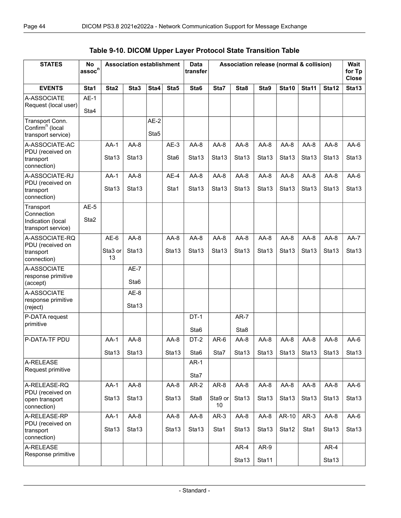## **Table 9-10. DICOM Upper Layer Protocol State Transition Table**

<span id="page-43-0"></span>

| <b>STATES</b>                                                        | No<br>$\mathsf{assoc}^{\mathsf{n}}$ | <b>Association establishment</b> |                             |                |                             | Data<br>transfer            | Association release (normal & collision) |                             |                             |                             |                             | Wait<br>for Tp<br><b>Close</b> |                 |
|----------------------------------------------------------------------|-------------------------------------|----------------------------------|-----------------------------|----------------|-----------------------------|-----------------------------|------------------------------------------|-----------------------------|-----------------------------|-----------------------------|-----------------------------|--------------------------------|-----------------|
| <b>EVENTS</b>                                                        | Sta1                                | Sta2                             | Sta3                        | Sta4           | Sta5                        | Sta6                        | Sta7                                     | Sta8                        | Sta9                        | Sta10                       | Sta11                       | Sta12                          | Sta13           |
| A-ASSOCIATE<br>Request (local user)                                  | $AE-1$<br>Sta4                      |                                  |                             |                |                             |                             |                                          |                             |                             |                             |                             |                                |                 |
| Transport Conn.<br>Confirm <sup>n</sup> (local<br>transport service) |                                     |                                  |                             | $AE-2$<br>Sta5 |                             |                             |                                          |                             |                             |                             |                             |                                |                 |
| A-ASSOCIATE-AC<br>PDU (received on<br>transport<br>connection)       |                                     | $AA-1$<br>Sta <sub>13</sub>      | $AA-8$<br>Sta <sub>13</sub> |                | $AE-3$<br>Sta <sub>6</sub>  | $AA-8$<br>Sta <sub>13</sub> | $AA-8$<br>Sta <sub>13</sub>              | $AA-8$<br>Sta <sub>13</sub> | $AA-8$<br>Sta <sub>13</sub> | $AA-8$<br>Sta <sub>13</sub> | $AA-8$<br>Sta <sub>13</sub> | $AA-8$<br>Sta <sub>13</sub>    | AA-6<br>Sta13   |
| A-ASSOCIATE-RJ<br>PDU (received on<br>transport<br>connection)       |                                     | $AA-1$<br>Sta13                  | $AA-8$<br>Sta13             |                | $AE-4$<br>Sta1              | $AA-8$<br>Sta <sub>13</sub> | $AA-8$<br>Sta13                          | $AA-8$<br>Sta13             | AA-8<br>Sta13               | $AA-8$<br>Sta13             | $AA-8$<br>Sta13             | AA-8<br>Sta13                  | AA-6<br>Sta13   |
| Transport<br>Connection<br>Indication (local<br>transport service)   | $AE-5$<br>Sta <sub>2</sub>          |                                  |                             |                |                             |                             |                                          |                             |                             |                             |                             |                                |                 |
| A-ASSOCIATE-RQ<br>PDU (received on<br>transport<br>connection)       |                                     | $AE-6$<br>Sta3 or<br>13          | $AA-8$<br>Sta <sub>13</sub> |                | $AA-8$<br>Sta <sub>13</sub> | $AA-8$<br>Sta <sub>13</sub> | $AA-8$<br>Sta13                          | $AA-8$<br>Sta <sub>13</sub> | $AA-8$<br>Sta <sub>13</sub> | $AA-8$<br>Sta <sub>13</sub> | $AA-8$<br>Sta <sub>13</sub> | $AA-8$<br>Sta <sub>13</sub>    | $AA-7$<br>Sta13 |
| A-ASSOCIATE<br>response primitive<br>(accept)                        |                                     |                                  | $AE-7$<br>Sta <sub>6</sub>  |                |                             |                             |                                          |                             |                             |                             |                             |                                |                 |
| A-ASSOCIATE<br>response primitive<br>(reject)                        |                                     |                                  | $AE-8$<br>Sta13             |                |                             |                             |                                          |                             |                             |                             |                             |                                |                 |
| P-DATA request<br>primitive                                          |                                     |                                  |                             |                |                             | $DT-1$<br>Sta <sub>6</sub>  |                                          | $AR-7$<br>Sta8              |                             |                             |                             |                                |                 |
| P-DATA-TF PDU                                                        |                                     | $AA-1$<br>Sta13                  | $AA-8$<br>Sta13             |                | $AA-8$<br>Sta13             | DT-2<br>Sta6                | $AR-6$<br>Sta7                           | $AA-8$<br>Sta13             | $AA-8$<br>Sta13 $ $         | $AA-8$<br>Sta13             | $AA-8$<br>Sta13             | $AA-8$<br>Sta13                | AA-6<br>Sta13   |
| A-RELEASE<br>Request primitive                                       |                                     |                                  |                             |                |                             | $AR-1$<br>Sta7              |                                          |                             |                             |                             |                             |                                |                 |
| A-RELEASE-RQ<br>PDU (received on<br>open transport<br>connection)    |                                     | $AA-1$<br>Sta13                  | $AA-8$<br>Sta13             |                | AA-8<br>Sta13               | $AR-2$<br>Sta8              | AR-8<br>Sta9 or<br>10                    | AA-8<br>Sta13               | AA-8<br>Sta13               | AA-8<br>Sta13               | $AA-8$<br>Sta13             | AA-8<br>Sta13                  | AA-6<br>Sta13   |
| A-RELEASE-RP<br>PDU (received on<br>transport<br>connection)         |                                     | $AA-1$<br>Sta13                  | $AA-8$<br>Sta13             |                | $AA-8$<br>Sta13             | AA-8<br>Sta13               | $AR-3$<br>Sta1                           | AA-8<br>Sta13               | AA-8<br>Sta13               | AR-10<br>Sta12              | $AR-3$<br>Sta1              | AA-8<br>Sta13                  | AA-6<br>Sta13   |
| A-RELEASE<br>Response primitive                                      |                                     |                                  |                             |                |                             |                             |                                          | $AR-4$<br>Sta13             | AR-9<br>Sta11               |                             |                             | $AR-4$<br>Sta13                |                 |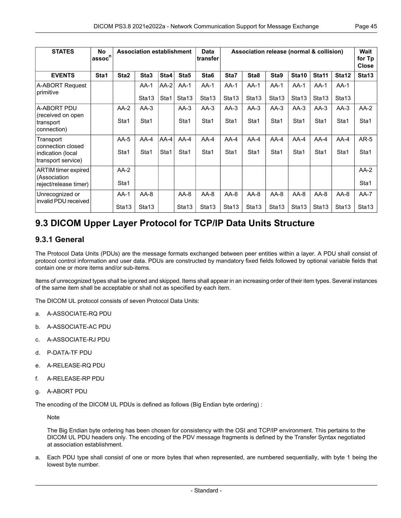| <b>STATES</b>                           | <b>No</b><br>'assoc <sup>n</sup> ⊺ |                   | <b>Association establishment</b> |        |                   | Data<br>transfer  |                   | Association release (normal & collision) |                   |                   |                   |                   | <b>Wait</b><br>for Tp<br><b>Close</b> |
|-----------------------------------------|------------------------------------|-------------------|----------------------------------|--------|-------------------|-------------------|-------------------|------------------------------------------|-------------------|-------------------|-------------------|-------------------|---------------------------------------|
| <b>EVENTS</b>                           | Sta1                               | Sta <sub>2</sub>  | Sta <sub>3</sub>                 | Sta4   | Sta5              | Sta <sub>6</sub>  | Sta7              | Sta8                                     | Sta9              | Sta10             | Sta11             | Sta12             | Sta <sub>13</sub>                     |
| A-ABORT Request<br>primitive            |                                    |                   | $AA-1$                           | $AA-2$ | $AA-1$            | $AA-1$            | $AA-1$            | $AA-1$                                   | $AA-1$            | $AA-1$            | $AA-1$            | $AA-1$            |                                       |
|                                         |                                    |                   | Sta <sub>13</sub>                | Sta1   | Sta <sub>13</sub> | Sta <sub>13</sub> | Sta <sub>13</sub> | Sta <sub>13</sub>                        | Sta <sub>13</sub> | Sta <sub>13</sub> | Sta <sub>13</sub> | Sta <sub>13</sub> |                                       |
| A-ABORT PDU<br>(received on open)       |                                    | $AA-2$            | $AA-3$                           |        | $AA-3$            | $AA-3$            | $AA-3$            | $AA-3$                                   | $AA-3$            | $AA-3$            | $AA-3$            | $AA-3$            | $AA-2$                                |
| transport<br>connection)                |                                    | Sta1              | Sta1                             |        | Sta1              | Sta1              | Sta1              | Sta1                                     | Sta1              | Sta1              | Sta1              | Sta1              | Sta1                                  |
| Transport<br>connection closed          |                                    | $AA-5$            | $AA-4$                           | $AA-4$ | $AA-4$            | $AA-4$            | $AA-4$            | $AA-4$                                   | $AA-4$            | $AA-4$            | $AA-4$            | $AA-4$            | $AR-5$                                |
| indication (local<br>transport service) |                                    | Sta1              | Sta1                             | Sta1   | Sta1              | Sta1              | Sta1              | Sta1                                     | Sta1              | Sta1              | Sta1              | Sta1              | Sta1                                  |
| ARTIM timer expired<br>(Association     |                                    | $AA-2$            |                                  |        |                   |                   |                   |                                          |                   |                   |                   |                   | $AA-2$                                |
| reject/release timer)                   |                                    | Sta1              |                                  |        |                   |                   |                   |                                          |                   |                   |                   |                   | Sta1                                  |
| Unrecognized or<br>invalid PDU received |                                    | $AA-1$            | $AA-8$                           |        | $AA-8$            | $AA-8$            | $AA-8$            | $AA-8$                                   | $AA-8$            | $AA-8$            | $AA-8$            | $AA-8$            | $AA-7$                                |
|                                         |                                    | Sta <sub>13</sub> | Sta <sub>13</sub>                |        | Sta <sub>13</sub> | Sta13             | Sta13             | Sta13                                    | Sta <sub>13</sub> | Sta <sub>13</sub> | Sta <sub>13</sub> | Sta <sub>13</sub> | Sta <sub>13</sub>                     |

## <span id="page-44-0"></span>**9.3 DICOM Upper Layer Protocol for TCP/IP Data Units Structure**

## **9.3.1 General**

The Protocol Data Units (PDUs) are the message formats exchanged between peer entities within a layer. A PDU shall consist of protocol control information and user data. PDUs are constructed by mandatory fixed fields followed by optional variable fields that contain one or more items and/or sub-items.

Items of unrecognized types shall be ignored and skipped. Items shall appear in an increasing order of their item types. Several instances of the same item shall be acceptable or shall not as specified by each item.

The DICOM UL protocol consists of seven Protocol Data Units:

- a. A-ASSOCIATE-RQ PDU
- b. A-ASSOCIATE-AC PDU
- c. A-ASSOCIATE-RJ PDU
- d. P-DATA-TF PDU
- e. A-RELEASE-RQ PDU
- f. A-RELEASE-RP PDU
- g. A-ABORT PDU

The encoding of the DICOM UL PDUs is defined as follows (Big Endian byte ordering) :

Note

The Big Endian byte ordering has been chosen for consistency with the OSI and TCP/IP environment. This pertains to the DICOM UL PDU headers only. The encoding of the PDV message fragments is defined by the Transfer Syntax negotiated at association establishment.

a. Each PDU type shall consist of one or more bytes that when represented, are numbered sequentially, with byte 1 being the lowest byte number.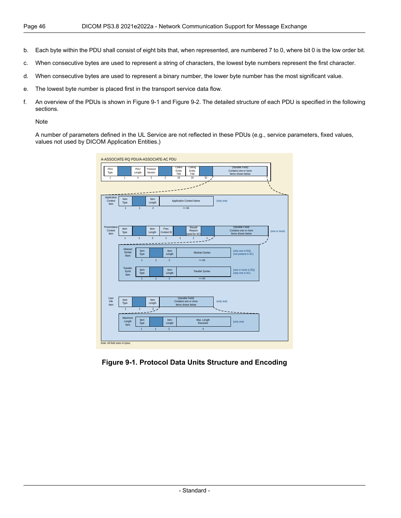- b. Each byte within the PDU shall consist of eight bits that, when represented, are numbered 7 to 0, where bit 0 is the low order bit.
- c. When consecutive bytes are used to represent a string of characters, the lowest byte numbers represent the first character.
- d. When consecutive bytes are used to represent a binary number, the lower byte number has the most significant value.
- e. The lowest byte number is placed first in the transport service data flow.
- f. An overview of the PDUs is shown in [Figure](#page-45-0) 9-1 and [Figure](#page-46-0) 9-2. The detailed structure of each PDU is specified in the following sections.

#### Note

<span id="page-45-0"></span>A number of parameters defined in the UL Service are not reflected in these PDUs (e.g., service parameters, fixed values, values not used by DICOM Application Entities.)

| PDU<br>Type<br>$\overline{1}$   | $\overline{1}$                 | PDU<br>Length<br>$\overline{4}$ | Protocol<br>Version<br>$\overline{2}$ | $\overline{2}$                        | Called<br>Calling<br>Entity<br>Entity<br>Title<br>Title<br>16<br>16<br>32                    | (Variable Field)<br>Contains one or more<br>Items shown below |                      |
|---------------------------------|--------------------------------|---------------------------------|---------------------------------------|---------------------------------------|----------------------------------------------------------------------------------------------|---------------------------------------------------------------|----------------------|
|                                 |                                |                                 |                                       |                                       |                                                                                              |                                                               | $\ddot{\phantom{0}}$ |
| Application<br>Context<br>Item  | Item<br>Type<br>$\overline{1}$ | $\overline{1}$                  | Item<br>Length<br>$\overline{2}$      |                                       | <b>Application Context Name</b><br>$= 64$                                                    | (only one)                                                    |                      |
| Presentation<br>Context<br>Item | Item<br>Type<br>$\overline{1}$ | $\overline{1}$                  | Item<br>Length<br>$\overline{2}$      | Pres.<br>Context ID<br>$\overline{1}$ | <b>Result/</b><br>Reason<br>used for AC)<br>$\overline{1}$<br>$\overline{1}$<br>$\mathbf{1}$ | (Variable Field)<br>Contains one or more<br>Items shown below | (one or more)        |
|                                 | Abstract<br>Syntax<br>litem    | Item<br>Type<br>$\overline{1}$  | $\overline{1}$                        | Item<br>Length<br>$\overline{2}$      | <b>Abstract Syntax</b><br>$= 64$                                                             | (only one in RQ)<br>(not present in AC)                       |                      |
|                                 | Transfer<br>Syntx<br>Item      | Item<br>Type<br>$\overline{1}$  | $\overline{1}$                        | Item<br>Length<br>$\overline{2}$      | <b>Transfer Syntax</b><br>$= 64$                                                             | (one or more in RQ)<br>(only one in AC)                       |                      |
| User                            |                                |                                 |                                       |                                       | (Variable Field)                                                                             |                                                               |                      |
| Info<br>Item                    | Item<br>Type<br>$\overline{1}$ | $\overline{1}$                  | Item<br>Length<br>$\overline{2}$      |                                       | Contains one or more<br>Items shown below                                                    | (only one)                                                    |                      |
|                                 | Maximum<br>Length<br>Item      | Item<br>Type<br>$\overline{1}$  | $\overline{1}$                        | Item<br>Length<br>$\overline{2}$      | Max. Length<br>Received<br>$\overline{4}$                                                    | (only one)                                                    |                      |

**Figure 9-1. Protocol Data Units Structure and Encoding**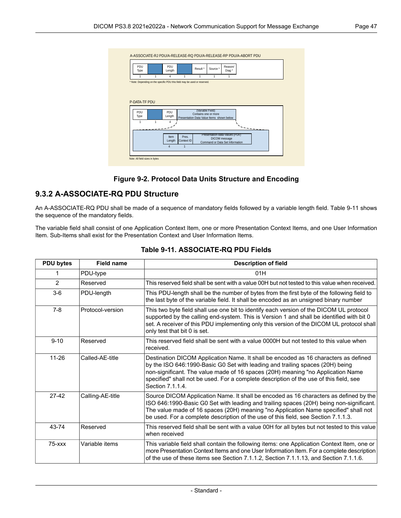<span id="page-46-0"></span>

| PDU<br>Type   |   | PDU<br>Length                                                             |                 | Result*                                   | Source *      | Reason/<br>Diag *               |  |  |
|---------------|---|---------------------------------------------------------------------------|-----------------|-------------------------------------------|---------------|---------------------------------|--|--|
|               | 1 | 4                                                                         | 1               | $\overline{1}$                            | 4             |                                 |  |  |
|               |   | * Note: Depending on the specific PDU this field may be used or reserved. |                 |                                           |               |                                 |  |  |
|               |   |                                                                           |                 |                                           |               |                                 |  |  |
|               |   |                                                                           |                 |                                           |               |                                 |  |  |
|               |   |                                                                           |                 |                                           |               |                                 |  |  |
|               |   |                                                                           |                 |                                           |               |                                 |  |  |
|               |   |                                                                           |                 |                                           |               |                                 |  |  |
| P-DATA-TF PDU |   |                                                                           |                 |                                           |               |                                 |  |  |
|               |   |                                                                           |                 |                                           |               |                                 |  |  |
| PDU           |   | PDU                                                                       |                 | (Variable Field)                          |               |                                 |  |  |
| Type          |   | Length                                                                    |                 | Contains one or more                      |               |                                 |  |  |
|               |   |                                                                           |                 | Presentation Data Value Items shown below |               |                                 |  |  |
| 1             | 1 | 4                                                                         |                 |                                           |               |                                 |  |  |
|               |   |                                                                           |                 |                                           |               |                                 |  |  |
|               |   |                                                                           |                 |                                           |               |                                 |  |  |
|               |   | Item                                                                      | Pres.           |                                           |               | Presentation-data-Values (PDV)  |  |  |
|               |   |                                                                           |                 |                                           | DICOM message |                                 |  |  |
|               |   | Length<br>4                                                               | Context ID<br>1 |                                           |               | Command or Data Set Information |  |  |

#### **Figure 9-2. Protocol Data Units Structure and Encoding**

## **9.3.2 A-ASSOCIATE-RQ PDU Structure**

An A-ASSOCIATE-RQ PDU shall be made of a sequence of mandatory fields followed by a variable length field. [Table](#page-46-1) 9-11 shows the sequence of the mandatory fields.

<span id="page-46-1"></span>The variable field shall consist of one Application Context Item, one or more Presentation Context Items, and one User Information Item. Sub-Items shall exist for the Presentation Context and User Information Items.

| <b>PDU bytes</b> | <b>Field name</b> | <b>Description of field</b>                                                                                                                                                                                                                                                                                                                                           |
|------------------|-------------------|-----------------------------------------------------------------------------------------------------------------------------------------------------------------------------------------------------------------------------------------------------------------------------------------------------------------------------------------------------------------------|
|                  | PDU-type          | 01H                                                                                                                                                                                                                                                                                                                                                                   |
| $\overline{2}$   | Reserved          | This reserved field shall be sent with a value 00H but not tested to this value when received.                                                                                                                                                                                                                                                                        |
| $3-6$            | PDU-length        | This PDU-length shall be the number of bytes from the first byte of the following field to<br>the last byte of the variable field. It shall be encoded as an unsigned binary number                                                                                                                                                                                   |
| $7-8$            | Protocol-version  | This two byte field shall use one bit to identify each version of the DICOM UL protocol<br>supported by the calling end-system. This is Version 1 and shall be identified with bit 0<br>set. A receiver of this PDU implementing only this version of the DICOM UL protocol shall<br>only test that bit 0 is set.                                                     |
| $9 - 10$         | Reserved          | This reserved field shall be sent with a value 0000H but not tested to this value when<br>received.                                                                                                                                                                                                                                                                   |
| $11 - 26$        | Called-AE-title   | Destination DICOM Application Name. It shall be encoded as 16 characters as defined<br>by the ISO 646:1990-Basic G0 Set with leading and trailing spaces (20H) being<br>non-significant. The value made of 16 spaces (20H) meaning "no Application Name<br>specified" shall not be used. For a complete description of the use of this field, see<br>Section 7.1.1.4. |
| $27-42$          | Calling-AE-title  | Source DICOM Application Name. It shall be encoded as 16 characters as defined by the<br>ISO 646:1990-Basic G0 Set with leading and trailing spaces (20H) being non-significant.<br>The value made of 16 spaces (20H) meaning "no Application Name specified" shall not<br>be used. For a complete description of the use of this field, see Section 7.1.1.3.         |
| 43-74            | Reserved          | This reserved field shall be sent with a value 00H for all bytes but not tested to this value<br>when received                                                                                                                                                                                                                                                        |
| $75  xxx$        | Variable items    | This variable field shall contain the following items: one Application Context Item, one or<br>more Presentation Context Items and one User Information Item. For a complete description<br>of the use of these items see Section 7.1.1.2, Section 7.1.1.13, and Section 7.1.1.6.                                                                                     |

#### **Table 9-11. ASSOCIATE-RQ PDU Fields**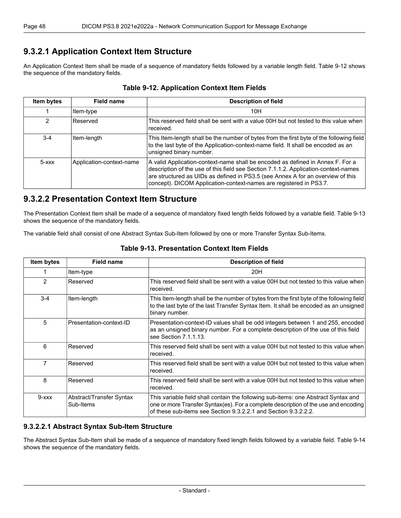## **9.3.2.1 Application Context Item Structure**

<span id="page-47-0"></span>An Application Context Item shall be made of a sequence of mandatory fields followed by a variable length field. [Table](#page-47-0) 9-12 shows the sequence of the mandatory fields.

| Item bytes | <b>Field name</b>        | <b>Description of field</b>                                                                                                                                                                                                                                                                                                    |
|------------|--------------------------|--------------------------------------------------------------------------------------------------------------------------------------------------------------------------------------------------------------------------------------------------------------------------------------------------------------------------------|
|            | Item-type                | 10H                                                                                                                                                                                                                                                                                                                            |
| 2          | Reserved                 | This reserved field shall be sent with a value 00H but not tested to this value when<br>received.                                                                                                                                                                                                                              |
| $3-4$      | Item-length              | This Item-length shall be the number of bytes from the first byte of the following field<br>to the last byte of the Application-context-name field. It shall be encoded as an<br>unsigned binary number.                                                                                                                       |
| $5  xxx$   | Application-context-name | A valid Application-context-name shall be encoded as defined in Annex F. For a<br>description of the use of this field see Section 7.1.1.2. Application-context-names<br>are structured as UIDs as defined in PS3.5 (see Annex A for an overview of this<br>concept). DICOM Application-context-names are registered in PS3.7. |

### **Table 9-12. Application Context Item Fields**

## **9.3.2.2 Presentation Context Item Structure**

<span id="page-47-1"></span>The Presentation Context Item shall be made of a sequence of mandatory fixed length fields followed by a variable field. [Table](#page-47-1) 9-13 shows the sequence of the mandatory fields.

The variable field shall consist of one Abstract Syntax Sub-Item followed by one or more Transfer Syntax Sub-Items.

| Item bytes  | <b>Field name</b>                     | <b>Description of field</b>                                                                                                                                                                                                                  |
|-------------|---------------------------------------|----------------------------------------------------------------------------------------------------------------------------------------------------------------------------------------------------------------------------------------------|
|             | Item-type                             | 20H                                                                                                                                                                                                                                          |
| 2           | Reserved                              | This reserved field shall be sent with a value 00H but not tested to this value when<br>received.                                                                                                                                            |
| $3 - 4$     | Item-length                           | This Item-length shall be the number of bytes from the first byte of the following field<br>to the last byte of the last Transfer Syntax Item. It shall be encoded as an unsigned<br>binary number.                                          |
| 5           | Presentation-context-ID               | Presentation-context-ID values shall be odd integers between 1 and 255, encoded<br>as an unsigned binary number. For a complete description of the use of this field<br>see Section 7.1.1.13.                                                |
| 6           | Reserved                              | This reserved field shall be sent with a value 00H but not tested to this value when<br>received.                                                                                                                                            |
| 7           | Reserved                              | This reserved field shall be sent with a value 00H but not tested to this value when<br>received.                                                                                                                                            |
| 8           | Reserved                              | This reserved field shall be sent with a value 00H but not tested to this value when<br>received.                                                                                                                                            |
| $9 - x x x$ | Abstract/Transfer Syntax<br>Sub-Items | This variable field shall contain the following sub-items: one Abstract Syntax and<br>one or more Transfer Syntax(es). For a complete description of the use and encoding<br>of these sub-items see Section 9.3.2.2.1 and Section 9.3.2.2.2. |

#### **Table 9-13. Presentation Context Item Fields**

### <span id="page-47-2"></span>**9.3.2.2.1 Abstract Syntax Sub-Item Structure**

The Abstract Syntax Sub-Item shall be made of a sequence of mandatory fixed length fields followed by a variable field. [Table](#page-48-1) 9-14 shows the sequence of the mandatory fields.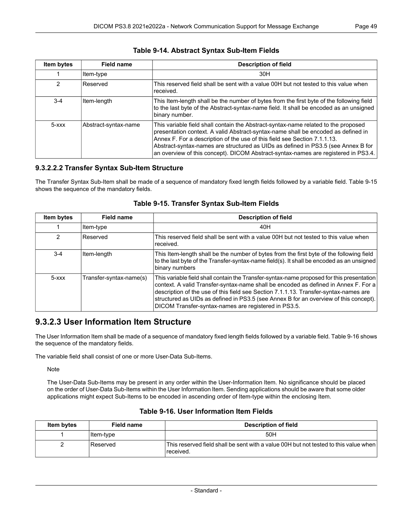<span id="page-48-1"></span>

| Item bytes | Field name           | <b>Description of field</b>                                                                                                                                                                                                                                                                                                                                                                                                     |
|------------|----------------------|---------------------------------------------------------------------------------------------------------------------------------------------------------------------------------------------------------------------------------------------------------------------------------------------------------------------------------------------------------------------------------------------------------------------------------|
|            | Item-type            | 30H                                                                                                                                                                                                                                                                                                                                                                                                                             |
| 2          | Reserved             | This reserved field shall be sent with a value 00H but not tested to this value when<br>received.                                                                                                                                                                                                                                                                                                                               |
| $3 - 4$    | Item-length          | This Item-length shall be the number of bytes from the first byte of the following field<br>to the last byte of the Abstract-syntax-name field. It shall be encoded as an unsigned<br>binary number.                                                                                                                                                                                                                            |
| $5 - XXX$  | Abstract-syntax-name | This variable field shall contain the Abstract-syntax-name related to the proposed<br>presentation context. A valid Abstract-syntax-name shall be encoded as defined in<br>Annex F. For a description of the use of this field see Section 7.1.1.13.<br>Abstract-syntax-names are structured as UIDs as defined in PS3.5 (see Annex B for<br>an overview of this concept). DICOM Abstract-syntax-names are registered in PS3.4. |

### **Table 9-14. Abstract Syntax Sub-Item Fields**

### <span id="page-48-0"></span>**9.3.2.2.2 Transfer Syntax Sub-Item Structure**

<span id="page-48-2"></span>The Transfer Syntax Sub-Item shall be made of a sequence of mandatory fixed length fields followed by a variable field. [Table](#page-48-2) 9-15 shows the sequence of the mandatory fields.

| Item bytes | <b>Field name</b>       | <b>Description of field</b>                                                                                                                                                                                                                                                                                                                                                                                               |
|------------|-------------------------|---------------------------------------------------------------------------------------------------------------------------------------------------------------------------------------------------------------------------------------------------------------------------------------------------------------------------------------------------------------------------------------------------------------------------|
|            | Item-type               | 40H                                                                                                                                                                                                                                                                                                                                                                                                                       |
| 2          | <b>Reserved</b>         | This reserved field shall be sent with a value 00H but not tested to this value when<br>received.                                                                                                                                                                                                                                                                                                                         |
| $3-4$      | Item-length             | This Item-length shall be the number of bytes from the first byte of the following field<br>to the last byte of the Transfer-syntax-name field(s). It shall be encoded as an unsigned<br>binary numbers                                                                                                                                                                                                                   |
| $5 - xxx$  | Transfer-syntax-name(s) | This variable field shall contain the Transfer-syntax-name proposed for this presentation<br>context. A valid Transfer-syntax-name shall be encoded as defined in Annex F. For a<br>description of the use of this field see Section 7.1.1.13. Transfer-syntax-names are<br>structured as UIDs as defined in PS3.5 (see Annex B for an overview of this concept).<br>DICOM Transfer-syntax-names are registered in PS3.5. |

#### **Table 9-15. Transfer Syntax Sub-Item Fields**

## **9.3.2.3 User Information Item Structure**

The User Information Item shall be made of a sequence of mandatory fixed length fields followed by a variable field. [Table](#page-48-3) 9-16 shows the sequence of the mandatory fields.

<span id="page-48-3"></span>The variable field shall consist of one or more User-Data Sub-Items.

Note

The User-Data Sub-Items may be present in any order within the User-Information Item. No significance should be placed on the order of User-Data Sub-Items within the User Information Item. Sending applications should be aware that some older applications might expect Sub-Items to be encoded in ascending order of Item-type within the enclosing Item.

| Item bytes | <b>Field name</b> | <b>Description of field</b>                                                                       |
|------------|-------------------|---------------------------------------------------------------------------------------------------|
|            | ∣ltem-t∨pe        | 50H                                                                                               |
|            | Reserved          | This reserved field shall be sent with a value 00H but not tested to this value when<br>received. |

### **Table 9-16. User Information Item Fields**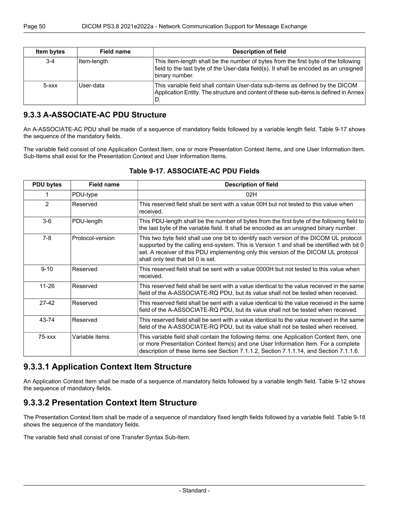| Item bytes | Field name  | <b>Description of field</b>                                                                                                                                                                  |
|------------|-------------|----------------------------------------------------------------------------------------------------------------------------------------------------------------------------------------------|
| $3 - 4$    | Item-length | This Item-length shall be the number of bytes from the first byte of the following<br>field to the last byte of the User-data field(s). It shall be encoded as an unsigned<br>binary number. |
| $5 -$ xxx  | User-data   | This variable field shall contain User-data sub-items as defined by the DICOM<br>Application Entity. The structure and content of these sub-items is defined in Annex<br>D.                  |

## **9.3.3 A-ASSOCIATE-AC PDU Structure**

An A-ASSOCIATE-AC PDU shall be made of a sequence of mandatory fields followed by a variable length field. [Table](#page-49-0) 9-17 shows the sequence of the mandatory fields.

<span id="page-49-0"></span>The variable field consist of one Application Context Item, one or more Presentation Context Items, and one User Information Item. Sub-Items shall exist for the Presentation Context and User Information Items.

| <b>PDU bytes</b> | <b>Field name</b> | <b>Description of field</b>                                                                                                                                                                                                                                                                                       |
|------------------|-------------------|-------------------------------------------------------------------------------------------------------------------------------------------------------------------------------------------------------------------------------------------------------------------------------------------------------------------|
|                  | PDU-type          | 02H                                                                                                                                                                                                                                                                                                               |
| $\mathcal{P}$    | Reserved          | This reserved field shall be sent with a value 00H but not tested to this value when<br>received.                                                                                                                                                                                                                 |
| $3-6$            | PDU-length        | This PDU-length shall be the number of bytes from the first byte of the following field to<br>the last byte of the variable field. It shall be encoded as an unsigned binary number.                                                                                                                              |
| $7-8$            | Protocol-version  | This two byte field shall use one bit to identify each version of the DICOM UL protocol<br>supported by the calling end-system. This is Version 1 and shall be identified with bit 0<br>set. A receiver of this PDU implementing only this version of the DICOM UL protocol<br>shall only test that bit 0 is set. |
| $9 - 10$         | Reserved          | This reserved field shall be sent with a value 0000H but not tested to this value when<br>received.                                                                                                                                                                                                               |
| $11 - 26$        | Reserved          | This reserved field shall be sent with a value identical to the value received in the same<br>field of the A-ASSOCIATE-RQ PDU, but its value shall not be tested when received.                                                                                                                                   |
| $27-42$          | Reserved          | This reserved field shall be sent with a value identical to the value received in the same<br>field of the A-ASSOCIATE-RQ PDU, but its value shall not be tested when received.                                                                                                                                   |
| 43-74            | Reserved          | This reserved field shall be sent with a value identical to the value received in the same<br>field of the A-ASSOCIATE-RQ PDU, but its value shall not be tested when received.                                                                                                                                   |
| $75  xxx$        | Variable items    | This variable field shall contain the following items: one Application Context Item, one<br>or more Presentation Context Item(s) and one User Information Item. For a complete<br>description of these items see Section 7.1.1.2, Section 7.1.1.14, and Section 7.1.1.6.                                          |

### **Table 9-17. ASSOCIATE-AC PDU Fields**

## **9.3.3.1 Application Context Item Structure**

An Application Context Item shall be made of a sequence of mandatory fields followed by a variable length field. [Table](#page-47-0) 9-12 shows the sequence of mandatory fields.

## **9.3.3.2 Presentation Context Item Structure**

The Presentation Context Item shall be made of a sequence of mandatory fixed length fields followed by a variable field. [Table](#page-50-0) 9-18 shows the sequence of the mandatory fields.

The variable field shall consist of one Transfer Syntax Sub-Item.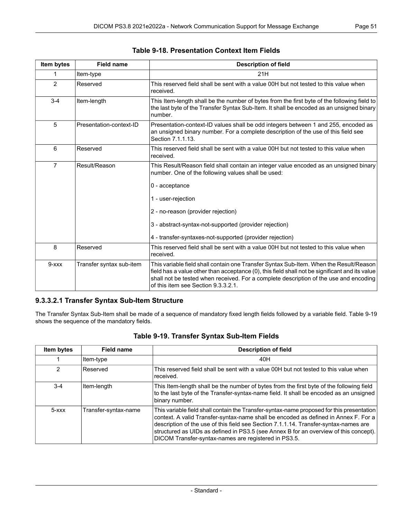<span id="page-50-0"></span>

| Item bytes     | <b>Field name</b>        | <b>Description of field</b>                                                                                                                                                                                                                                                                                                                     |
|----------------|--------------------------|-------------------------------------------------------------------------------------------------------------------------------------------------------------------------------------------------------------------------------------------------------------------------------------------------------------------------------------------------|
| 1              | Item-type                | 21H                                                                                                                                                                                                                                                                                                                                             |
| 2              | Reserved                 | This reserved field shall be sent with a value 00H but not tested to this value when<br>received.                                                                                                                                                                                                                                               |
| $3 - 4$        | Item-length              | This Item-length shall be the number of bytes from the first byte of the following field to<br>the last byte of the Transfer Syntax Sub-Item. It shall be encoded as an unsigned binary<br>number.                                                                                                                                              |
| 5              | Presentation-context-ID  | Presentation-context-ID values shall be odd integers between 1 and 255, encoded as<br>an unsigned binary number. For a complete description of the use of this field see<br>Section 7.1.1.13.                                                                                                                                                   |
| 6              | Reserved                 | This reserved field shall be sent with a value 00H but not tested to this value when<br>received.                                                                                                                                                                                                                                               |
| $\overline{7}$ | Result/Reason            | This Result/Reason field shall contain an integer value encoded as an unsigned binary<br>number. One of the following values shall be used:<br>0 - acceptance<br>1 - user-rejection<br>2 - no-reason (provider rejection)<br>3 - abstract-syntax-not-supported (provider rejection)<br>4 - transfer-syntaxes-not-supported (provider rejection) |
| 8              | Reserved                 | This reserved field shall be sent with a value 00H but not tested to this value when<br>received.                                                                                                                                                                                                                                               |
| $9 - xxx$      | Transfer syntax sub-item | This variable field shall contain one Transfer Syntax Sub-Item. When the Result/Reason<br>field has a value other than acceptance (0), this field shall not be significant and its value<br>shall not be tested when received. For a complete description of the use and encoding<br>of this item see Section 9.3.3.2.1.                        |

### **Table 9-18. Presentation Context Item Fields**

### <span id="page-50-2"></span><span id="page-50-1"></span>**9.3.3.2.1 Transfer Syntax Sub-Item Structure**

The Transfer Syntax Sub-Item shall be made of a sequence of mandatory fixed length fields followed by a variable field. [Table](#page-50-2) 9-19 shows the sequence of the mandatory fields.

| Item bytes | <b>Field name</b>    | <b>Description of field</b>                                                                                                                                                                                                                                                                                                                                                                                               |
|------------|----------------------|---------------------------------------------------------------------------------------------------------------------------------------------------------------------------------------------------------------------------------------------------------------------------------------------------------------------------------------------------------------------------------------------------------------------------|
|            | Item-type            | 40H                                                                                                                                                                                                                                                                                                                                                                                                                       |
| 2          | Reserved             | This reserved field shall be sent with a value 00H but not tested to this value when<br>received.                                                                                                                                                                                                                                                                                                                         |
| $3 - 4$    | Item-length          | This Item-length shall be the number of bytes from the first byte of the following field<br>to the last byte of the Transfer-syntax-name field. It shall be encoded as an unsigned<br>binary number.                                                                                                                                                                                                                      |
| $5 - XXX$  | Transfer-syntax-name | This variable field shall contain the Transfer-syntax-name proposed for this presentation<br>context. A valid Transfer-syntax-name shall be encoded as defined in Annex F. For a<br>description of the use of this field see Section 7.1.1.14. Transfer-syntax-names are<br>structured as UIDs as defined in PS3.5 (see Annex B for an overview of this concept).<br>DICOM Transfer-syntax-names are registered in PS3.5. |

| Table 9-19. Transfer Syntax Sub-Item Fields |  |  |  |  |  |
|---------------------------------------------|--|--|--|--|--|
|---------------------------------------------|--|--|--|--|--|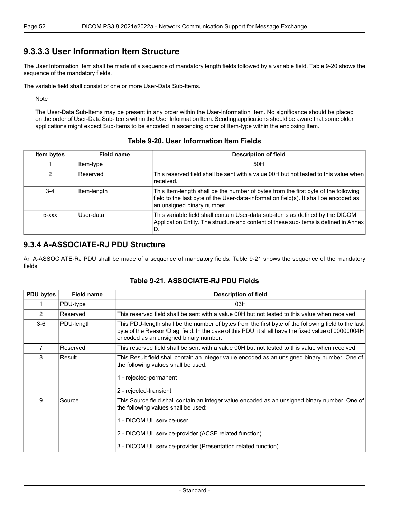## **9.3.3.3 User Information Item Structure**

The User Information Item shall be made of a sequence of mandatory length fields followed by a variable field. [Table](#page-51-0) 9-20 shows the sequence of the mandatory fields.

The variable field shall consist of one or more User-Data Sub-Items.

**Note** 

<span id="page-51-0"></span>The User-Data Sub-Items may be present in any order within the User-Information Item. No significance should be placed on the order of User-Data Sub-Items within the User Information Item. Sending applications should be aware that some older applications might expect Sub-Items to be encoded in ascending order of Item-type within the enclosing Item.

#### **Table 9-20. User Information Item Fields**

| Item bytes      | <b>Field name</b> | <b>Description of field</b>                                                                                                                                                                              |
|-----------------|-------------------|----------------------------------------------------------------------------------------------------------------------------------------------------------------------------------------------------------|
|                 | Item-type         | 50H                                                                                                                                                                                                      |
| 2               | Reserved          | This reserved field shall be sent with a value 00H but not tested to this value when<br>received.                                                                                                        |
| $3 - 4$         | Item-length       | This Item-length shall be the number of bytes from the first byte of the following<br>field to the last byte of the User-data-information field(s). It shall be encoded as<br>an unsigned binary number. |
| $5 - x$ $x$ $x$ | User-data         | This variable field shall contain User-data sub-items as defined by the DICOM<br>Application Entity. The structure and content of these sub-items is defined in Annex<br>ID.                             |

## **9.3.4 A-ASSOCIATE-RJ PDU Structure**

<span id="page-51-1"></span>An A-ASSOCIATE-RJ PDU shall be made of a sequence of mandatory fields. [Table](#page-51-1) 9-21 shows the sequence of the mandatory fields.

| <b>PDU bytes</b> | <b>Field name</b> | <b>Description of field</b>                                                                                                                                                                                                                                                                 |
|------------------|-------------------|---------------------------------------------------------------------------------------------------------------------------------------------------------------------------------------------------------------------------------------------------------------------------------------------|
|                  | PDU-type          | 03H                                                                                                                                                                                                                                                                                         |
| 2                | Reserved          | This reserved field shall be sent with a value 00H but not tested to this value when received.                                                                                                                                                                                              |
| $3-6$            | PDU-length        | This PDU-length shall be the number of bytes from the first byte of the following field to the last<br>byte of the Reason/Diag. field. In the case of this PDU, it shall have the fixed value of 00000004H<br>encoded as an unsigned binary number.                                         |
| $\overline{7}$   | Reserved          | This reserved field shall be sent with a value 00H but not tested to this value when received.                                                                                                                                                                                              |
| 8                | Result            | This Result field shall contain an integer value encoded as an unsigned binary number. One of<br>the following values shall be used:<br>1 - rejected-permanent<br>2 - rejected-transient                                                                                                    |
| 9                | Source            | This Source field shall contain an integer value encoded as an unsigned binary number. One of<br>the following values shall be used:<br>1 - DICOM UL service-user<br>2 - DICOM UL service-provider (ACSE related function)<br>3 - DICOM UL service-provider (Presentation related function) |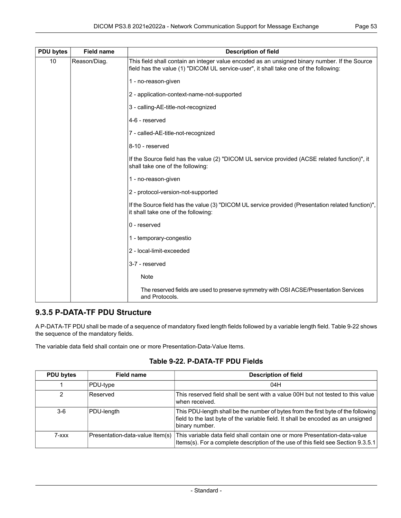| <b>PDU bytes</b> | <b>Field name</b> | <b>Description of field</b>                                                                                                                                                           |  |
|------------------|-------------------|---------------------------------------------------------------------------------------------------------------------------------------------------------------------------------------|--|
| 10               | Reason/Diag.      | This field shall contain an integer value encoded as an unsigned binary number. If the Source<br>field has the value (1) "DICOM UL service-user", it shall take one of the following: |  |
|                  |                   | 1 - no-reason-given                                                                                                                                                                   |  |
|                  |                   | 2 - application-context-name-not-supported                                                                                                                                            |  |
|                  |                   | 3 - calling-AE-title-not-recognized                                                                                                                                                   |  |
|                  |                   | 4-6 - reserved                                                                                                                                                                        |  |
|                  |                   | 7 - called-AE-title-not-recognized                                                                                                                                                    |  |
|                  |                   | 8-10 - reserved                                                                                                                                                                       |  |
|                  |                   | If the Source field has the value (2) "DICOM UL service provided (ACSE related function)", it<br>shall take one of the following:                                                     |  |
|                  |                   | 1 - no-reason-given                                                                                                                                                                   |  |
|                  |                   | 2 - protocol-version-not-supported                                                                                                                                                    |  |
|                  |                   | If the Source field has the value (3) "DICOM UL service provided (Presentation related function)",<br>it shall take one of the following:                                             |  |
|                  |                   | 0 - reserved                                                                                                                                                                          |  |
|                  |                   | 1 - temporary-congestio                                                                                                                                                               |  |
|                  |                   | 2 - local-limit-exceeded                                                                                                                                                              |  |
|                  |                   | 3-7 - reserved                                                                                                                                                                        |  |
|                  |                   | Note                                                                                                                                                                                  |  |
|                  |                   | The reserved fields are used to preserve symmetry with OSI ACSE/Presentation Services<br>and Protocols.                                                                               |  |

## **9.3.5 P-DATA-TF PDU Structure**

<span id="page-52-0"></span>A P-DATA-TF PDU shall be made of a sequence of mandatory fixed length fields followed by a variable length field. [Table](#page-52-0) 9-22 shows the sequence of the mandatory fields.

The variable data field shall contain one or more Presentation-Data-Value Items.

#### **Table 9-22. P-DATA-TF PDU Fields**

| <b>PDU bytes</b> | <b>Field name</b> | <b>Description of field</b>                                                                                                                                                                     |
|------------------|-------------------|-------------------------------------------------------------------------------------------------------------------------------------------------------------------------------------------------|
|                  | PDU-type          | 04H                                                                                                                                                                                             |
|                  | Reserved          | This reserved field shall be sent with a value 00H but not tested to this value<br>when received.                                                                                               |
| $3-6$            | PDU-length        | This PDU-length shall be the number of bytes from the first byte of the following<br>field to the last byte of the variable field. It shall be encoded as an unsigned<br>binary number.         |
| 7-xxx            |                   | Presentation-data-value Item(s) This variable data field shall contain one or more Presentation-data-value<br>Items(s). For a complete description of the use of this field see Section 9.3.5.1 |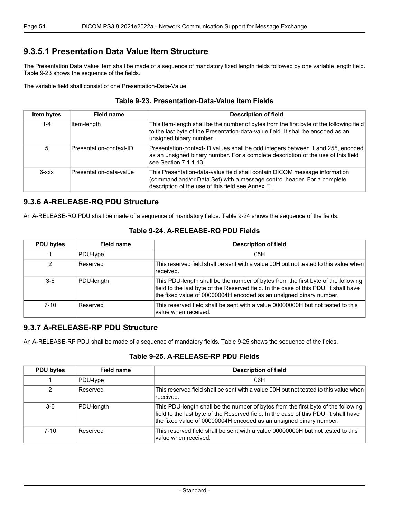## <span id="page-53-0"></span>**9.3.5.1 Presentation Data Value Item Structure**

The Presentation Data Value Item shall be made of a sequence of mandatory fixed length fields followed by one variable length field. [Table](#page-53-1) 9-23 shows the sequence of the fields.

<span id="page-53-1"></span>The variable field shall consist of one Presentation-Data-Value.

| Table 9-23. Presentation-Data-Value Item Fields |  |
|-------------------------------------------------|--|
|-------------------------------------------------|--|

| Item bytes | Field name              | <b>Description of field</b>                                                                                                                                                                                |
|------------|-------------------------|------------------------------------------------------------------------------------------------------------------------------------------------------------------------------------------------------------|
| $1 - 4$    | Item-length             | This Item-length shall be the number of bytes from the first byte of the following field<br>to the last byte of the Presentation-data-value field. It shall be encoded as an<br>unsigned binary number.    |
| 5          | Presentation-context-ID | Presentation-context-ID values shall be odd integers between 1 and 255, encoded<br>as an unsigned binary number. For a complete description of the use of this field<br>see Section 7.1.1.13.              |
| $6 - xxx$  | Presentation-data-value | This Presentation-data-value field shall contain DICOM message information<br>(command and/or Data Set) with a message control header. For a complete<br>description of the use of this field see Annex E. |

## <span id="page-53-2"></span>**9.3.6 A-RELEASE-RQ PDU Structure**

An A-RELEASE-RQ PDU shall be made of a sequence of mandatory fields. [Table](#page-53-2) 9-24 shows the sequence of the fields.

| <b>PDU bytes</b> | Field name | <b>Description of field</b>                                                                                                                                                                                                                     |
|------------------|------------|-------------------------------------------------------------------------------------------------------------------------------------------------------------------------------------------------------------------------------------------------|
|                  | PDU-type   | 05H                                                                                                                                                                                                                                             |
| 2                | Reserved   | This reserved field shall be sent with a value 00H but not tested to this value when<br>received.                                                                                                                                               |
| 3-6              | PDU-length | This PDU-length shall be the number of bytes from the first byte of the following<br>field to the last byte of the Reserved field. In the case of this PDU, it shall have<br>the fixed value of 00000004H encoded as an unsigned binary number. |
| $7 - 10$         | Reserved   | This reserved field shall be sent with a value 00000000H but not tested to this<br>value when received.                                                                                                                                         |

#### **Table 9-24. A-RELEASE-RQ PDU Fields**

## <span id="page-53-3"></span>**9.3.7 A-RELEASE-RP PDU Structure**

An A-RELEASE-RP PDU shall be made of a sequence of mandatory fields. [Table](#page-53-3) 9-25 shows the sequence of the fields.

#### **Table 9-25. A-RELEASE-RP PDU Fields**

| <b>PDU bytes</b> | Field name | <b>Description of field</b>                                                                                                                                                                                                                     |
|------------------|------------|-------------------------------------------------------------------------------------------------------------------------------------------------------------------------------------------------------------------------------------------------|
|                  | PDU-type   | 06H                                                                                                                                                                                                                                             |
| 2                | Reserved   | This reserved field shall be sent with a value 00H but not tested to this value when<br>received.                                                                                                                                               |
| $3-6$            | PDU-length | This PDU-length shall be the number of bytes from the first byte of the following<br>field to the last byte of the Reserved field. In the case of this PDU, it shall have<br>the fixed value of 00000004H encoded as an unsigned binary number. |
| $7 - 10$         | Reserved   | This reserved field shall be sent with a value 00000000H but not tested to this<br>value when received.                                                                                                                                         |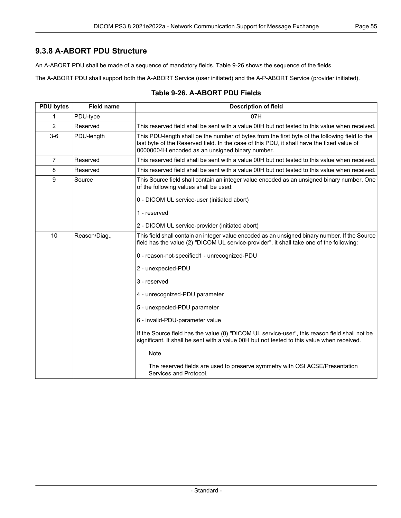## **9.3.8 A-ABORT PDU Structure**

An A-ABORT PDU shall be made of a sequence of mandatory fields. [Table](#page-54-0) 9-26 shows the sequence of the fields.

<span id="page-54-0"></span>The A-ABORT PDU shall support both the A-ABORT Service (user initiated) and the A-P-ABORT Service (provider initiated).

| <b>PDU bytes</b> | <b>Field name</b> | <b>Description of field</b>                                                                                                                                                                                                                     |
|------------------|-------------------|-------------------------------------------------------------------------------------------------------------------------------------------------------------------------------------------------------------------------------------------------|
| 1                | PDU-type          | 07H                                                                                                                                                                                                                                             |
| 2                | Reserved          | This reserved field shall be sent with a value 00H but not tested to this value when received.                                                                                                                                                  |
| $3-6$            | PDU-length        | This PDU-length shall be the number of bytes from the first byte of the following field to the<br>last byte of the Reserved field. In the case of this PDU, it shall have the fixed value of<br>00000004H encoded as an unsigned binary number. |
| $\overline{7}$   | Reserved          | This reserved field shall be sent with a value 00H but not tested to this value when received.                                                                                                                                                  |
| 8                | Reserved          | This reserved field shall be sent with a value 00H but not tested to this value when received.                                                                                                                                                  |
| 9                | Source            | This Source field shall contain an integer value encoded as an unsigned binary number. One<br>of the following values shall be used:                                                                                                            |
|                  |                   | 0 - DICOM UL service-user (initiated abort)                                                                                                                                                                                                     |
|                  |                   | 1 - reserved                                                                                                                                                                                                                                    |
|                  |                   | 2 - DICOM UL service-provider (initiated abort)                                                                                                                                                                                                 |
| 10               | Reason/Diag.,     | This field shall contain an integer value encoded as an unsigned binary number. If the Source<br>field has the value (2) "DICOM UL service-provider", it shall take one of the following:                                                       |
|                  |                   | 0 - reason-not-specified1 - unrecognized-PDU                                                                                                                                                                                                    |
|                  |                   | 2 - unexpected-PDU                                                                                                                                                                                                                              |
|                  |                   | 3 - reserved                                                                                                                                                                                                                                    |
|                  |                   | 4 - unrecognized-PDU parameter                                                                                                                                                                                                                  |
|                  |                   | 5 - unexpected-PDU parameter                                                                                                                                                                                                                    |
|                  |                   | 6 - invalid-PDU-parameter value                                                                                                                                                                                                                 |
|                  |                   | If the Source field has the value (0) "DICOM UL service-user", this reason field shall not be<br>significant. It shall be sent with a value 00H but not tested to this value when received.                                                     |
|                  |                   | <b>Note</b>                                                                                                                                                                                                                                     |
|                  |                   | The reserved fields are used to preserve symmetry with OSI ACSE/Presentation<br>Services and Protocol.                                                                                                                                          |

#### **Table 9-26. A-ABORT PDU Fields**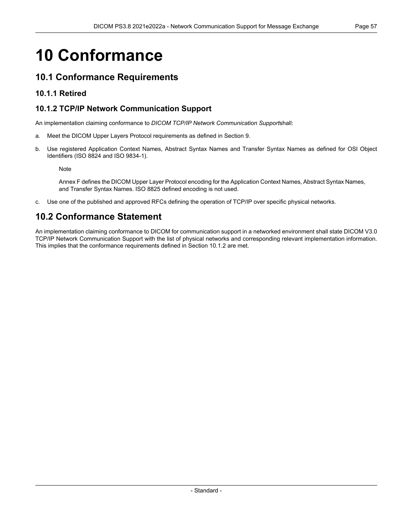# **10 Conformance**

## **10.1 Conformance Requirements**

## <span id="page-56-0"></span>**10.1.1 Retired**

## **10.1.2 TCP/IP Network Communication Support**

An implementation claiming conformance to *DICOM TCP/IP Network Communication Support*shall:

- a. Meet the DICOM Upper Layers Protocol requirements as defined in Section 9.
- b. Use registered Application Context Names, Abstract Syntax Names and Transfer Syntax Names as defined for OSI Object Identifiers (ISO 8824 and ISO 9834-1).

Note

[Annex](#page-68-0) F defines the DICOM Upper Layer Protocol encoding for the Application Context Names, Abstract Syntax Names, and Transfer Syntax Names. ISO 8825 defined encoding is not used.

c. Use one of the published and approved RFCs defining the operation of TCP/IP over specific physical networks.

# **10.2 Conformance Statement**

An implementation claiming conformance to DICOM for communication support in a networked environment shall state DICOM V3.0 TCP/IP Network Communication Support with the list of physical networks and corresponding relevant implementation information. This implies that the conformance requirements defined in [Section](#page-56-0) 10.1.2 are met.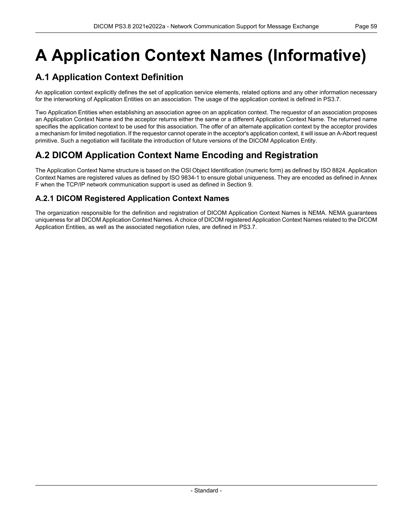# <span id="page-58-0"></span>**A Application Context Names (Informative)**

# **A.1 Application Context Definition**

An application context explicitly defines the set of application service elements, related options and any other information necessary for the interworking of Application Entities on an association. The usage of the application context is defined in [PS3.7](part07.pdf#PS3.7).

Two Application Entities when establishing an association agree on an application context. The requestor of an association proposes an Application Context Name and the acceptor returns either the same or a different Application Context Name. The returned name specifies the application context to be used for this association. The offer of an alternate application context by the acceptor provides a mechanism for limited negotiation. If the requestor cannot operate in the acceptor's application context, it will issue an A-Abort request primitive. Such a negotiation will facilitate the introduction of future versions of the DICOM Application Entity.

# **A.2 DICOM Application Context Name Encoding and Registration**

The Application Context Name structure is based on the OSI Object Identification (numeric form) as defined by ISO 8824. Application Context Names are registered values as defined by ISO 9834-1 to ensure global uniqueness. They are encoded as defined in [Annex](#page-68-0) [F](#page-68-0) when the TCP/IP network communication support is used as defined in Section 9.

## **A.2.1 DICOM Registered Application Context Names**

The organization responsible for the definition and registration of DICOM Application Context Names is NEMA. NEMA guarantees uniqueness for all DICOM Application Context Names. A choice of DICOM registered Application Context Names related to the DICOM Application Entities, as well as the associated negotiation rules, are defined in [PS3.7.](part07.pdf#PS3.7)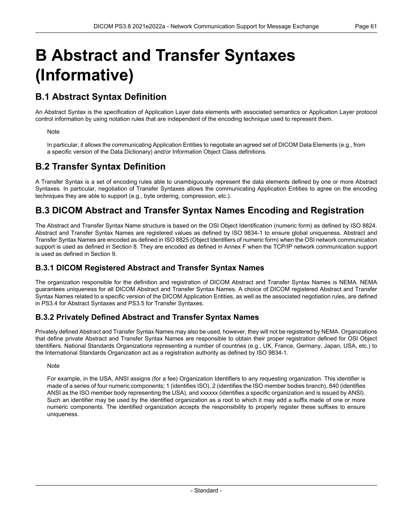# <span id="page-60-0"></span>**B Abstract and Transfer Syntaxes (Informative)**

# **B.1 Abstract Syntax Definition**

An Abstract Syntax is the specification of Application Layer data elements with associated semantics or Application Layer protocol control information by using notation rules that are independent of the encoding technique used to represent them.

#### **Note**

In particular, it allows the communicating Application Entities to negotiate an agreed set of DICOM Data Elements (e.g., from a specific version of the Data Dictionary) and/or Information Object Class definitions.

## **B.2 Transfer Syntax Definition**

A Transfer Syntax is a set of encoding rules able to unambiguously represent the data elements defined by one or more Abstract Syntaxes. In particular, negotiation of Transfer Syntaxes allows the communicating Application Entities to agree on the encoding techniques they are able to support (e.g., byte ordering, compression, etc.).

## **B.3 DICOM Abstract and Transfer Syntax Names Encoding and Registration**

The Abstract and Transfer Syntax Name structure is based on the OSI Object Identification (numeric form) as defined by ISO 8824. Abstract and Transfer Syntax Names are registered values as defined by ISO 9834-1 to ensure global uniqueness. Abstract and Transfer Syntax Names are encoded as defined in ISO 8825 (Object Identifiers of numeric form) when the OSI network communication support is used as defined in Section 8. They are encoded as defined in [Annex](#page-68-0) F when the TCP/IP network communication support is used as defined in Section 9.

## **B.3.1 DICOM Registered Abstract and Transfer Syntax Names**

The organization responsible for the definition and registration of DICOM Abstract and Transfer Syntax Names is NEMA. NEMA guarantees uniqueness for all DICOM Abstract and Transfer Syntax Names. A choice of DICOM registered Abstract and Transfer Syntax Names related to a specific version of the DICOM Application Entities, as well as the associated negotiation rules, are defined in [PS3.4](part04.pdf#PS3.4) for Abstract Syntaxes and [PS3.5](part05.pdf#PS3.5) for Transfer Syntaxes.

## **B.3.2 Privately Defined Abstract and Transfer Syntax Names**

Privately defined Abstract and Transfer Syntax Names may also be used, however, they will not be registered by NEMA. Organizations that define private Abstract and Transfer Syntax Names are responsible to obtain their proper registration defined for OSI Object Identifiers. National Standards Organizations representing a number of countries (e.g., UK, France, Germany, Japan, USA, etc.) to the International Standards Organization act as a registration authority as defined by ISO 9834-1.

#### **Note**

For example, in the USA, ANSI assigns (for a fee) Organization Identifiers to any requesting organization. This identifier is made of a series of four numeric components; 1 (identifies ISO), 2 (identifies the ISO member bodies branch), 840 (identifies ANSI as the ISO member body representing the USA), and xxxxxx (identifies a specific organization and is issued by ANSI). Such an identifier may be used by the identified organization as a root to which it may add a suffix made of one or more numeric components. The identified organization accepts the responsibility to properly register these suffixes to ensure uniqueness.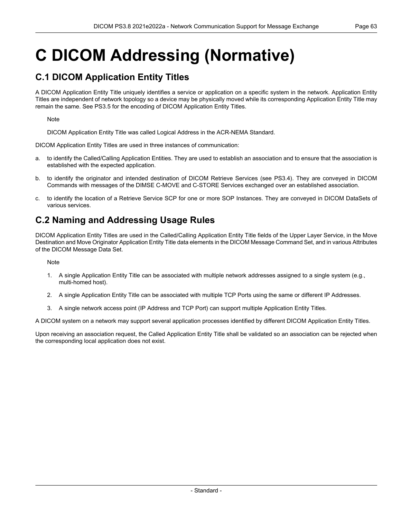# **C DICOM Addressing (Normative)**

## **C.1 DICOM Application Entity Titles**

A DICOM Application Entity Title uniquely identifies a service or application on a specific system in the network. Application Entity Titles are independent of network topology so a device may be physically moved while its corresponding Application Entity Title may remain the same. See [PS3.5](part05.pdf#PS3.5) for the encoding of DICOM Application Entity Titles.

Note

DICOM Application Entity Title was called Logical Address in the ACR-NEMA Standard.

DICOM Application Entity Titles are used in three instances of communication:

- a. to identify the Called/Calling Application Entities. They are used to establish an association and to ensure that the association is established with the expected application.
- b. to identify the originator and intended destination of DICOM Retrieve Services (see [PS3.4](part04.pdf#PS3.4)). They are conveyed in DICOM Commands with messages of the DIMSE C-MOVE and C-STORE Services exchanged over an established association.
- c. to identify the location of a Retrieve Service SCP for one or more SOP Instances. They are conveyed in DICOM DataSets of various services.

## **C.2 Naming and Addressing Usage Rules**

DICOM Application Entity Titles are used in the Called/Calling Application Entity Title fields of the Upper Layer Service, in the Move Destination and Move Originator Application Entity Title data elements in the DICOM Message Command Set, and in various Attributes of the DICOM Message Data Set.

Note

- 1. A single Application Entity Title can be associated with multiple network addresses assigned to a single system (e.g., multi-homed host).
- 2. A single Application Entity Title can be associated with multiple TCP Ports using the same or different IP Addresses.
- 3. A single network access point (IP Address and TCP Port) can support multiple Application Entity Titles.

A DICOM system on a network may support several application processes identified by different DICOM Application Entity Titles.

Upon receiving an association request, the Called Application Entity Title shall be validated so an association can be rejected when the corresponding local application does not exist.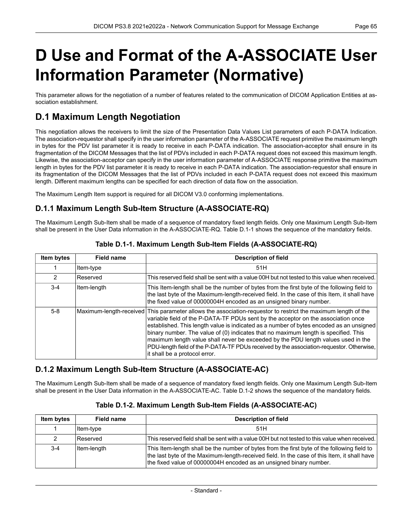# <span id="page-64-0"></span>**D Use and Format of the A-ASSOCIATE User Information Parameter (Normative)**

This parameter allows for the negotiation of a number of features related to the communication of DICOM Application Entities at as sociation establishment.

# **D.1 Maximum Length Negotiation**

This negotiation allows the receivers to limit the size of the Presentation Data Values List parameters of each P-DATA Indication. The association-requestor shall specify in the user information parameter of the A-ASSOCIATE request primitive the maximum length in bytes for the PDV list parameter it is ready to receive in each P-DATA indication. The association-acceptor shall ensure in its fragmentation of the DICOM Messages that the list of PDVs included in each P-DATA request does not exceed this maximum length. Likewise, the association-acceptor can specify in the user information parameter of A-ASSOCIATE response primitive the maximum length in bytes for the PDV list parameter it is ready to receive in each P-DATA indication. The association-requestor shall ensure in its fragmentation of the DICOM Messages that the list of PDVs included in each P-DATA request does not exceed this maximum length. Different maximum lengths can be specified for each direction of data flow on the association.

The Maximum Length Item support is required for all DICOM V3.0 conforming implementations.

## **D.1.1 Maximum Length Sub-Item Structure (A-ASSOCIATE-RQ)**

<span id="page-64-1"></span>The Maximum Length Sub-Item shall be made of a sequence of mandatory fixed length fields. Only one Maximum Length Sub-Item shall be present in the User Data information in the A-ASSOCIATE-RQ. [Table](#page-64-1) D.1-1 shows the sequence of the mandatory fields.

| Item bytes | <b>Field name</b> | <b>Description of field</b>                                                                                                                                                                                                                                                                                                                                                                                                                                                                                                                                                                            |
|------------|-------------------|--------------------------------------------------------------------------------------------------------------------------------------------------------------------------------------------------------------------------------------------------------------------------------------------------------------------------------------------------------------------------------------------------------------------------------------------------------------------------------------------------------------------------------------------------------------------------------------------------------|
|            | Item-type         | 51H                                                                                                                                                                                                                                                                                                                                                                                                                                                                                                                                                                                                    |
| 2          | Reserved          | This reserved field shall be sent with a value 00H but not tested to this value when received.                                                                                                                                                                                                                                                                                                                                                                                                                                                                                                         |
| $3 - 4$    | Item-length       | This Item-length shall be the number of bytes from the first byte of the following field to<br>the last byte of the Maximum-length-received field. In the case of this Item, it shall have<br>the fixed value of 00000004H encoded as an unsigned binary number.                                                                                                                                                                                                                                                                                                                                       |
| $5 - 8$    |                   | Maximum-length-received This parameter allows the association-requestor to restrict the maximum length of the<br>variable field of the P-DATA-TF PDUs sent by the acceptor on the association once<br>established. This length value is indicated as a number of bytes encoded as an unsigned<br>binary number. The value of (0) indicates that no maximum length is specified. This<br>maximum length value shall never be exceeded by the PDU length values used in the<br>PDU-length field of the P-DATA-TF PDUs received by the association-requestor. Otherwise,<br>it shall be a protocol error. |

## **Table D.1-1. Maximum Length Sub-Item Fields (A-ASSOCIATE-RQ)**

## <span id="page-64-2"></span>**D.1.2 Maximum Length Sub-Item Structure (A-ASSOCIATE-AC)**

The Maximum Length Sub-Item shall be made of a sequence of mandatory fixed length fields. Only one Maximum Length Sub-Item shall be present in the User Data information in the A-ASSOCIATE-AC. [Table](#page-64-2) D.1-2 shows the sequence of the mandatory fields.

| <b>Item bytes</b> | Field name  | <b>Description of field</b>                                                                                                                                                                                                                                      |
|-------------------|-------------|------------------------------------------------------------------------------------------------------------------------------------------------------------------------------------------------------------------------------------------------------------------|
|                   | ltem-type   | 51H                                                                                                                                                                                                                                                              |
| 2                 | l Reserved  | This reserved field shall be sent with a value 00H but not tested to this value when received.                                                                                                                                                                   |
| $3 - 4$           | Item-length | This Item-length shall be the number of bytes from the first byte of the following field to<br>the last byte of the Maximum-length-received field. In the case of this Item, it shall have<br>the fixed value of 00000004H encoded as an unsigned binary number. |

### **Table D.1-2. Maximum Length Sub-Item Fields (A-ASSOCIATE-AC)**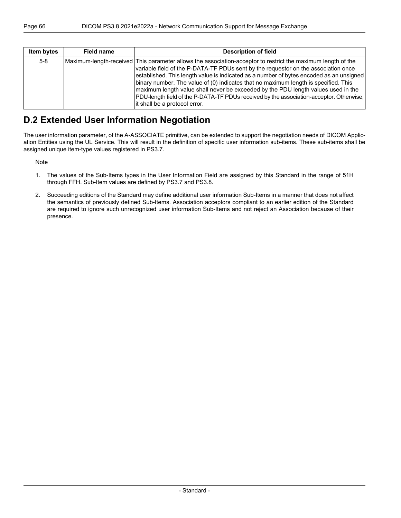| <b>Item bytes</b> | Field name | <b>Description of field</b>                                                                                                                                                                                                                                                                                                                                                                                                                                                                                                                                                                           |
|-------------------|------------|-------------------------------------------------------------------------------------------------------------------------------------------------------------------------------------------------------------------------------------------------------------------------------------------------------------------------------------------------------------------------------------------------------------------------------------------------------------------------------------------------------------------------------------------------------------------------------------------------------|
| $5 - 8$           |            | Maximum-length-received This parameter allows the association-acceptor to restrict the maximum length of the<br>variable field of the P-DATA-TF PDUs sent by the requestor on the association once<br>established. This length value is indicated as a number of bytes encoded as an unsigned<br>binary number. The value of (0) indicates that no maximum length is specified. This<br>maximum length value shall never be exceeded by the PDU length values used in the<br>PDU-length field of the P-DATA-TF PDUs received by the association-acceptor. Otherwise,<br>it shall be a protocol error. |

## **D.2 Extended User Information Negotiation**

The user information parameter, of the A-ASSOCIATE primitive, can be extended to support the negotiation needs of DICOM Applic ation Entities using the UL Service. This will result in the definition of specific user information sub-items. These sub-items shall be assigned unique item-type values registered in [PS3.7](part07.pdf#PS3.7).

Note

- 1. The values of the Sub-Items types in the User Information Field are assigned by this Standard in the range of 51H through FFH. Sub-Item values are defined by [PS3.7](part07.pdf#PS3.7) and [PS3.8](#page-0-0).
- 2. Succeeding editions of the Standard may define additional user information Sub-Items in a manner that does not affect the semantics of previously defined Sub-Items. Association acceptors compliant to an earlier edition of the Standard are required to ignore such unrecognized user information Sub-Items and not reject an Association because of their presence.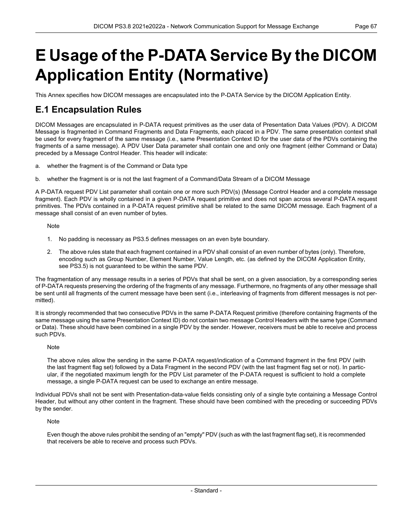# <span id="page-66-0"></span>**E Usage of the P-DATA Service By the DICOM Application Entity (Normative)**

This Annex specifies how DICOM messages are encapsulated into the P-DATA Service by the DICOM Application Entity.

## **E.1 Encapsulation Rules**

DICOM Messages are encapsulated in P-DATA request primitives as the user data of Presentation Data Values (PDV). A DICOM Message is fragmented in Command Fragments and Data Fragments, each placed in a PDV. The same presentation context shall be used for every fragment of the same message (i.e., same Presentation Context ID for the user data of the PDVs containing the fragments of a same message). A PDV User Data parameter shall contain one and only one fragment (either Command or Data) preceded by a Message Control Header. This header will indicate:

- a. whether the fragment is of the Command or Data type
- b. whether the fragment is or is not the last fragment of a Command/Data Stream of a DICOM Message

A P-DATA request PDV List parameter shall contain one or more such PDV(s) (Message Control Header and a complete message fragment). Each PDV is wholly contained in a given P-DATA request primitive and does not span across several P-DATA request primitives. The PDVs contained in a P-DATA request primitive shall be related to the same DICOM message. Each fragment of a message shall consist of an even number of bytes.

Note

- 1. No padding is necessary as [PS3.5](part05.pdf#PS3.5) defines messages on an even byte boundary.
- 2. The above rules state that each fragment contained in a PDV shall consist of an even number of bytes (only). Therefore, encoding such as Group Number, Element Number, Value Length, etc. (as defined by the DICOM Application Entity, see [PS3.5](part05.pdf#PS3.5)) is not guaranteed to be within the same PDV.

The fragmentation of any message results in a series of PDVs that shall be sent, on a given association, by a corresponding series of P-DATA requests preserving the ordering of the fragments of any message. Furthermore, no fragments of any other message shall be sent until all fragments of the current message have been sent (i.e., interleaving of fragments from different messages is not per mitted).

It is strongly recommended that two consecutive PDVs in the same P-DATA Request primitive (therefore containing fragments of the same message using the same Presentation Context ID) do not contain two message Control Headers with the same type (Command or Data). These should have been combined in a single PDV by the sender. However, receivers must be able to receive and process such PDVs.

#### **Note**

The above rules allow the sending in the same P-DATA request/indication of a Command fragment in the first PDV (with the last fragment flag set) followed by a Data Fragment in the second PDV (with the last fragment flag set or not). In partic ular, if the negotiated maximum length for the PDV List parameter of the P-DATA request is sufficient to hold a complete message, a single P-DATA request can be used to exchange an entire message.

Individual PDVs shall not be sent with Presentation-data-value fields consisting only of a single byte containing a Message Control Header, but without any other content in the fragment. These should have been combined with the preceding or succeeding PDVs by the sender.

Note

Even though the above rules prohibit the sending of an "empty" PDV (such as with the last fragment flag set), it is recommended that receivers be able to receive and process such PDVs.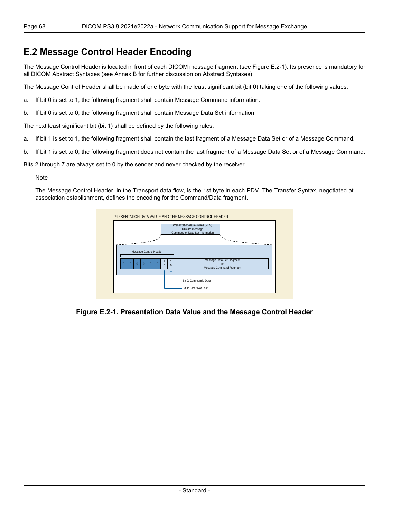## **E.2 Message Control Header Encoding**

The Message Control Header is located in front of each DICOM message fragment (see [Figure](#page-67-0) E.2-1). Its presence is mandatory for all DICOM Abstract Syntaxes (see [Annex](#page-60-0) B for further discussion on Abstract Syntaxes).

The Message Control Header shall be made of one byte with the least significant bit (bit 0) taking one of the following values:

- a. If bit 0 is set to 1, the following fragment shall contain Message Command information.
- b. If bit 0 is set to 0, the following fragment shall contain Message Data Set information.

The next least significant bit (bit 1) shall be defined by the following rules:

- a. If bit 1 is set to 1, the following fragment shall contain the last fragment of a Message Data Set or of a Message Command.
- b. If bit 1 is set to 0, the following fragment does not contain the last fragment of a Message Data Set or of a Message Command.

Bits 2 through 7 are always set to 0 by the sender and never checked by the receiver.

#### Note

<span id="page-67-0"></span>The Message Control Header, in the Transport data flow, is the 1st byte in each PDV. The Transfer Syntax, negotiated at association establishment, defines the encoding for the Command/Data fragment.



**Figure E.2-1. Presentation Data Value and the Message Control Header**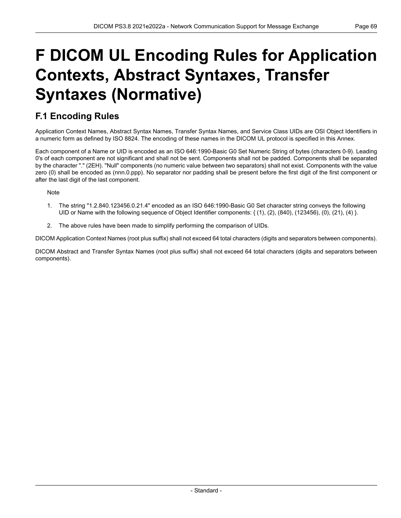# <span id="page-68-0"></span>**F DICOM UL Encoding Rules for Application Contexts, Abstract Syntaxes, Transfer Syntaxes (Normative)**

# **F.1 Encoding Rules**

Application Context Names, Abstract Syntax Names, Transfer Syntax Names, and Service Class UIDs are OSI Object Identifiers in a numeric form as defined by ISO 8824. The encoding of these names in the DICOM UL protocol is specified in this Annex.

Each component of a Name or UID is encoded as an ISO 646:1990-Basic G0 Set Numeric String of bytes (characters 0-9). Leading 0's of each component are not significant and shall not be sent. Components shall not be padded. Components shall be separated by the character "." (2EH). "Null" components (no numeric value between two separators) shall not exist. Components with the value zero (0) shall be encoded as (nnn.0.ppp). No separator nor padding shall be present before the first digit of the first component or after the last digit of the last component.

**Note** 

- 1. The string "1.2.840.123456.0.21.4" encoded as an ISO 646:1990-Basic G0 Set character string conveys the following UID or Name with the following sequence of Object Identifier components: { (1), (2), (840), (123456), (0), (21), (4) }.
- 2. The above rules have been made to simplify performing the comparison of UIDs.

DICOM Application Context Names (root plus suffix) shall not exceed 64 total characters (digits and separators between components).

DICOM Abstract and Transfer Syntax Names (root plus suffix) shall not exceed 64 total characters (digits and separators between components).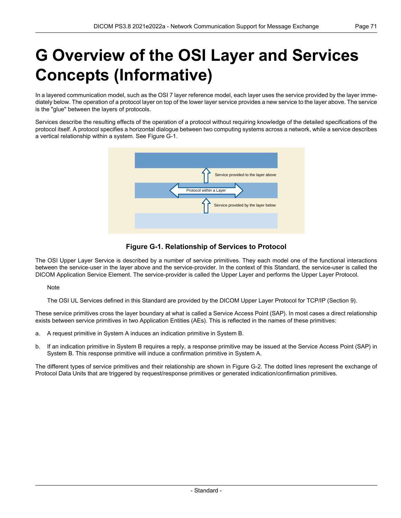# **G Overview of the OSI Layer and Services Concepts (Informative)**

In a layered communication model, such as the OSI 7 layer reference model, each layer uses the service provided by the layer imme diately below. The operation of a protocol layer on top of the lower layer service provides a new service to the layer above. The service is the "glue" between the layers of protocols.

<span id="page-70-0"></span>Services describe the resulting effects of the operation of a protocol without requiring knowledge of the detailed specifications of the protocol itself. A protocol specifies a horizontal dialogue between two computing systems across a network, while a service describes a vertical relationship within a system. See [Figure](#page-70-0) G-1.



## **Figure G-1. Relationship of Services to Protocol**

The OSI Upper Layer Service is described by a number of service primitives. They each model one of the functional interactions between the service-user in the layer above and the service-provider. In the context of this Standard, the service-user is called the DICOM Application Service Element. The service-provider is called the Upper Layer and performs the Upper Layer Protocol.

**Note** 

The OSI UL Services defined in this Standard are provided by the DICOM Upper Layer Protocol for TCP/IP (Section 9).

These service primitives cross the layer boundary at what is called a Service Access Point (SAP). In most cases a direct relationship exists between service primitives in two Application Entities (AEs). This is reflected in the names of these primitives:

- a. A request primitive in System A induces an indication primitive in System B.
- b. If an indication primitive in System B requires a reply, a response primitive may be issued at the Service Access Point (SAP) in System B. This response primitive will induce a confirmation primitive in System A.

The different types of service primitives and their relationship are shown in [Figure](#page-71-0) G-2. The dotted lines represent the exchange of Protocol Data Units that are triggered by request/response primitives or generated indication/confirmation primitives.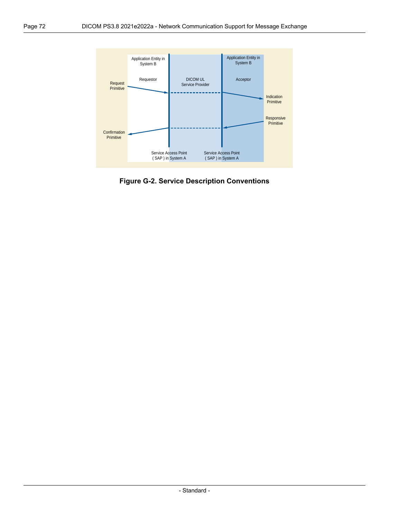<span id="page-71-0"></span>

**Figure G-2. Service Description Conventions**